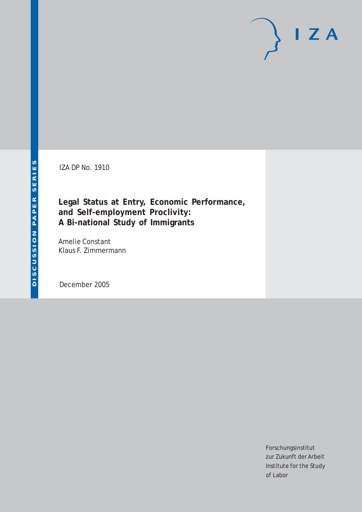IZA DP No. 1910

# **Legal Status at Entry, Economic Performance, and Self-employment Proclivity: A Bi-national Study of Immigrants**

Amelie Constant Klaus F. Zimmermann

December 2005

Forschungsinstitut zur Zukunft der Arbeit Institute for the Study of Labor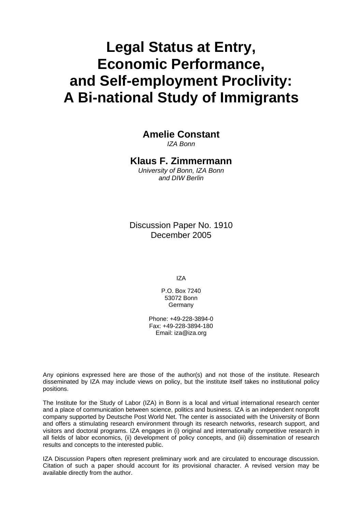# **Legal Status at Entry, Economic Performance, and Self-employment Proclivity: A Bi-national Study of Immigrants**

**Amelie Constant** 

*IZA Bonn* 

### **Klaus F. Zimmermann**

*University of Bonn, IZA Bonn and DIW Berlin* 

Discussion Paper No. 1910 December 2005

IZA

P.O. Box 7240 53072 Bonn Germany

Phone: +49-228-3894-0 Fax: +49-228-3894-180 Email: [iza@iza.org](mailto:iza@iza.org)

Any opinions expressed here are those of the author(s) and not those of the institute. Research disseminated by IZA may include views on policy, but the institute itself takes no institutional policy positions.

The Institute for the Study of Labor (IZA) in Bonn is a local and virtual international research center and a place of communication between science, politics and business. IZA is an independent nonprofit company supported by Deutsche Post World Net. The center is associated with the University of Bonn and offers a stimulating research environment through its research networks, research support, and visitors and doctoral programs. IZA engages in (i) original and internationally competitive research in all fields of labor economics, (ii) development of policy concepts, and (iii) dissemination of research results and concepts to the interested public.

IZA Discussion Papers often represent preliminary work and are circulated to encourage discussion. Citation of such a paper should account for its provisional character. A revised version may be available directly from the author.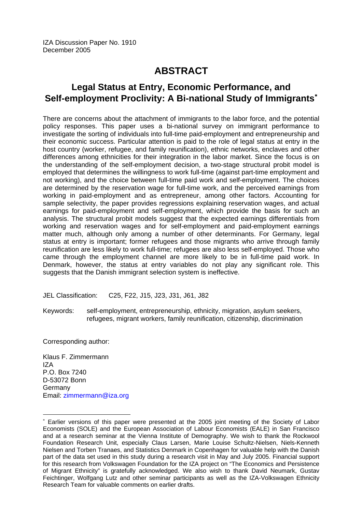# **ABSTRACT**

# **Legal Status at Entry, Economic Performance, and Self-employment Proclivity: A Bi-national Study of Immigrants**[∗](#page-2-0)

There are concerns about the attachment of immigrants to the labor force, and the potential policy responses. This paper uses a bi-national survey on immigrant performance to investigate the sorting of individuals into full-time paid-employment and entrepreneurship and their economic success. Particular attention is paid to the role of legal status at entry in the host country (worker, refugee, and family reunification), ethnic networks, enclaves and other differences among ethnicities for their integration in the labor market. Since the focus is on the understanding of the self-employment decision, a two-stage structural probit model is employed that determines the willingness to work full-time (against part-time employment and not working), and the choice between full-time paid work and self-employment. The choices are determined by the reservation wage for full-time work, and the perceived earnings from working in paid-employment and as entrepreneur, among other factors. Accounting for sample selectivity, the paper provides regressions explaining reservation wages, and actual earnings for paid-employment and self-employment, which provide the basis for such an analysis. The structural probit models suggest that the expected earnings differentials from working and reservation wages and for self-employment and paid-employment earnings matter much, although only among a number of other determinants. For Germany, legal status at entry is important; former refugees and those migrants who arrive through family reunification are less likely to work full-time; refugees are also less self-employed. Those who came through the employment channel are more likely to be in full-time paid work. In Denmark, however, the status at entry variables do not play any significant role. This suggests that the Danish immigrant selection system is ineffective.

JEL Classification: C25, F22, J15, J23, J31, J61, J82

Keywords: self-employment, entrepreneurship, ethnicity, migration, asylum seekers, refugees, migrant workers, family reunification, citizenship, discrimination

Corresponding author:

 $\overline{a}$ 

Klaus F. Zimmermann IZA P.O. Box 7240 D-53072 Bonn Germany Email: [zimmermann@iza.org](mailto:zimmermann@iza.org)

<span id="page-2-0"></span><sup>∗</sup> Earlier versions of this paper were presented at the 2005 joint meeting of the Society of Labor Economists (SOLE) and the European Association of Labour Economists (EALE) in San Francisco and at a research seminar at the Vienna Institute of Demography. We wish to thank the Rockwool Foundation Research Unit, especially Claus Larsen, Marie Louise Schultz-Nielsen, Niels-Kenneth Nielsen and Torben Tranaes, and Statistics Denmark in Copenhagen for valuable help with the Danish part of the data set used in this study during a research visit in May and July 2005. Financial support for this research from Volkswagen Foundation for the IZA project on "The Economics and Persistence of Migrant Ethnicity" is gratefully acknowledged. We also wish to thank David Neumark, Gustav Feichtinger, Wolfgang Lutz and other seminar participants as well as the IZA-Volkswagen Ethnicity Research Team for valuable comments on earlier drafts.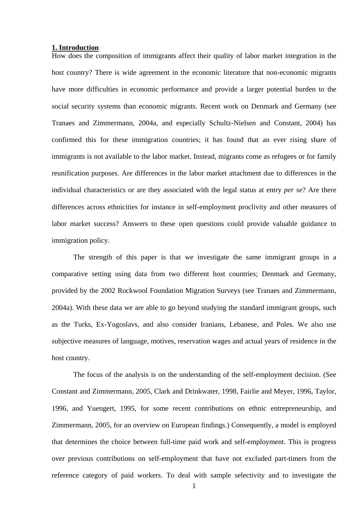#### **1. Introduction**

How does the composition of immigrants affect their quality of labor market integration in the host country? There is wide agreement in the economic literature that non-economic migrants have more difficulties in economic performance and provide a larger potential burden to the social security systems than economic migrants. Recent work on Denmark and Germany (see Tranaes and Zimmermann, 2004a, and especially Schultz-Nielsen and Constant, 2004) has confirmed this for these immigration countries; it has found that an ever rising share of immigrants is not available to the labor market. Instead, migrants come as refugees or for family reunification purposes. Are differences in the labor market attachment due to differences in the individual characteristics or are they associated with the legal status at entry *per se*? Are there differences across ethnicities for instance in self-employment proclivity and other measures of labor market success? Answers to these open questions could provide valuable guidance to immigration policy.

 The strength of this paper is that we investigate the same immigrant groups in a comparative setting using data from two different host countries; Denmark and Germany, provided by the 2002 Rockwool Foundation Migration Surveys (see Tranaes and Zimmermann, 2004a). With these data we are able to go beyond studying the standard immigrant groups, such as the Turks, Ex-Yugoslavs, and also consider Iranians, Lebanese, and Poles. We also use subjective measures of language, motives, reservation wages and actual years of residence in the host country.

 The focus of the analysis is on the understanding of the self-employment decision. (See Constant and Zimmermann, 2005, Clark and Drinkwater, 1998, Fairlie and Meyer, 1996, Taylor, 1996, and Yuengert, 1995, for some recent contributions on ethnic entrepreneurship, and Zimmermann, 2005, for an overview on European findings.) Consequently, a model is employed that determines the choice between full-time paid work and self-employment. This is progress over previous contributions on self-employment that have not excluded part-timers from the reference category of paid workers. To deal with sample selectivity and to investigate the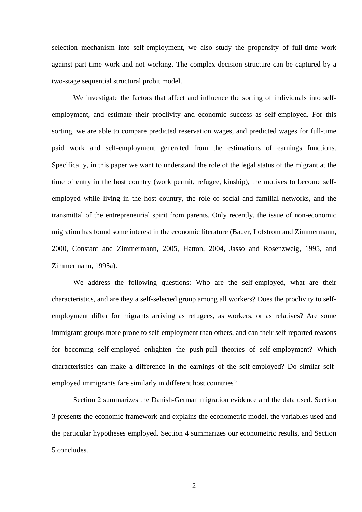selection mechanism into self-employment, we also study the propensity of full-time work against part-time work and not working. The complex decision structure can be captured by a two-stage sequential structural probit model.

 We investigate the factors that affect and influence the sorting of individuals into selfemployment, and estimate their proclivity and economic success as self-employed. For this sorting, we are able to compare predicted reservation wages, and predicted wages for full-time paid work and self-employment generated from the estimations of earnings functions. Specifically, in this paper we want to understand the role of the legal status of the migrant at the time of entry in the host country (work permit, refugee, kinship), the motives to become selfemployed while living in the host country, the role of social and familial networks, and the transmittal of the entrepreneurial spirit from parents. Only recently, the issue of non-economic migration has found some interest in the economic literature (Bauer, Lofstrom and Zimmermann, 2000, Constant and Zimmermann, 2005, Hatton, 2004, Jasso and Rosenzweig, 1995, and Zimmermann, 1995a).

We address the following questions: Who are the self-employed, what are their characteristics, and are they a self-selected group among all workers? Does the proclivity to selfemployment differ for migrants arriving as refugees, as workers, or as relatives? Are some immigrant groups more prone to self-employment than others, and can their self-reported reasons for becoming self-employed enlighten the push-pull theories of self-employment? Which characteristics can make a difference in the earnings of the self-employed? Do similar selfemployed immigrants fare similarly in different host countries?

 Section 2 summarizes the Danish-German migration evidence and the data used. Section 3 presents the economic framework and explains the econometric model, the variables used and the particular hypotheses employed. Section 4 summarizes our econometric results, and Section 5 concludes.

2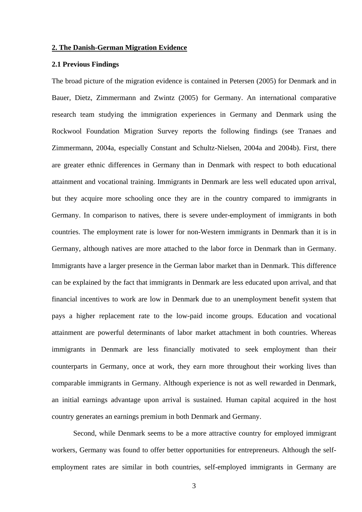#### **2. The Danish-German Migration Evidence**

#### **2.1 Previous Findings**

The broad picture of the migration evidence is contained in Petersen (2005) for Denmark and in Bauer, Dietz, Zimmermann and Zwintz (2005) for Germany. An international comparative research team studying the immigration experiences in Germany and Denmark using the Rockwool Foundation Migration Survey reports the following findings (see Tranaes and Zimmermann, 2004a, especially Constant and Schultz-Nielsen, 2004a and 2004b). First, there are greater ethnic differences in Germany than in Denmark with respect to both educational attainment and vocational training. Immigrants in Denmark are less well educated upon arrival, but they acquire more schooling once they are in the country compared to immigrants in Germany. In comparison to natives, there is severe under-employment of immigrants in both countries. The employment rate is lower for non-Western immigrants in Denmark than it is in Germany, although natives are more attached to the labor force in Denmark than in Germany. Immigrants have a larger presence in the German labor market than in Denmark. This difference can be explained by the fact that immigrants in Denmark are less educated upon arrival, and that financial incentives to work are low in Denmark due to an unemployment benefit system that pays a higher replacement rate to the low-paid income groups. Education and vocational attainment are powerful determinants of labor market attachment in both countries. Whereas immigrants in Denmark are less financially motivated to seek employment than their counterparts in Germany, once at work, they earn more throughout their working lives than comparable immigrants in Germany. Although experience is not as well rewarded in Denmark, an initial earnings advantage upon arrival is sustained. Human capital acquired in the host country generates an earnings premium in both Denmark and Germany.

 Second, while Denmark seems to be a more attractive country for employed immigrant workers, Germany was found to offer better opportunities for entrepreneurs. Although the selfemployment rates are similar in both countries, self-employed immigrants in Germany are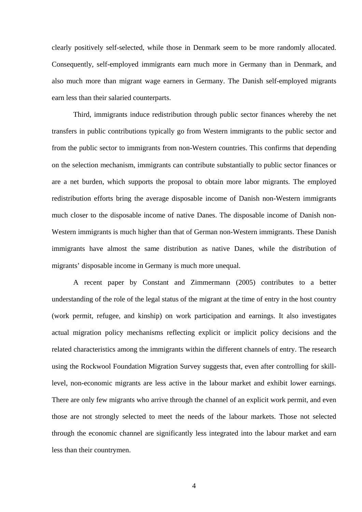clearly positively self-selected, while those in Denmark seem to be more randomly allocated. Consequently, self-employed immigrants earn much more in Germany than in Denmark, and also much more than migrant wage earners in Germany. The Danish self-employed migrants earn less than their salaried counterparts.

 Third, immigrants induce redistribution through public sector finances whereby the net transfers in public contributions typically go from Western immigrants to the public sector and from the public sector to immigrants from non-Western countries. This confirms that depending on the selection mechanism, immigrants can contribute substantially to public sector finances or are a net burden, which supports the proposal to obtain more labor migrants. The employed redistribution efforts bring the average disposable income of Danish non-Western immigrants much closer to the disposable income of native Danes. The disposable income of Danish non-Western immigrants is much higher than that of German non-Western immigrants. These Danish immigrants have almost the same distribution as native Danes, while the distribution of migrants' disposable income in Germany is much more unequal.

 A recent paper by Constant and Zimmermann (2005) contributes to a better understanding of the role of the legal status of the migrant at the time of entry in the host country (work permit, refugee, and kinship) on work participation and earnings. It also investigates actual migration policy mechanisms reflecting explicit or implicit policy decisions and the related characteristics among the immigrants within the different channels of entry. The research using the Rockwool Foundation Migration Survey suggests that, even after controlling for skilllevel, non-economic migrants are less active in the labour market and exhibit lower earnings. There are only few migrants who arrive through the channel of an explicit work permit, and even those are not strongly selected to meet the needs of the labour markets. Those not selected through the economic channel are significantly less integrated into the labour market and earn less than their countrymen.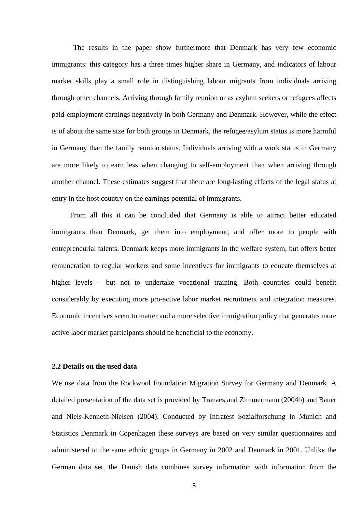The results in the paper show furthermore that Denmark has very few economic immigrants: this category has a three times higher share in Germany, and indicators of labour market skills play a small role in distinguishing labour migrants from individuals arriving through other channels. Arriving through family reunion or as asylum seekers or refugees affects paid-employment earnings negatively in both Germany and Denmark. However, while the effect is of about the same size for both groups in Denmark, the refugee/asylum status is more harmful in Germany than the family reunion status. Individuals arriving with a work status in Germany are more likely to earn less when changing to self-employment than when arriving through another channel. These estimates suggest that there are long-lasting effects of the legal status at entry in the host country on the earnings potential of immigrants.

 From all this it can be concluded that Germany is able to attract better educated immigrants than Denmark, get them into employment, and offer more to people with entrepreneurial talents. Denmark keeps more immigrants in the welfare system, but offers better remuneration to regular workers and some incentives for immigrants to educate themselves at higher levels – but not to undertake vocational training. Both countries could benefit considerably by executing more pro-active labor market recruitment and integration measures. Economic incentives seem to matter and a more selective immigration policy that generates more active labor market participants should be beneficial to the economy.

#### **2.2 Details on the used data**

We use data from the Rockwool Foundation Migration Survey for Germany and Denmark. A detailed presentation of the data set is provided by Tranaes and Zimmermann (2004b) and Bauer and Niels-Kenneth-Nielsen (2004). Conducted by Infratest Sozialforschung in Munich and Statistics Denmark in Copenhagen these surveys are based on very similar questionnaires and administered to the same ethnic groups in Germany in 2002 and Denmark in 2001. Unlike the German data set, the Danish data combines survey information with information from the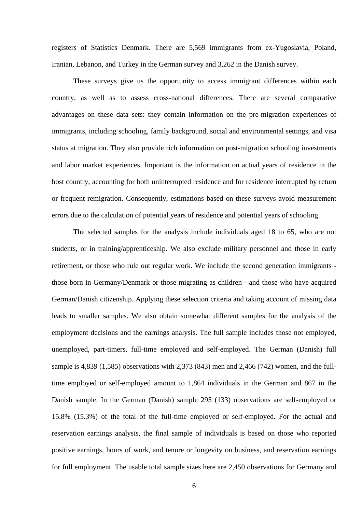registers of Statistics Denmark. There are 5,569 immigrants from ex-Yugoslavia, Poland, Iranian, Lebanon, and Turkey in the German survey and 3,262 in the Danish survey.

 These surveys give us the opportunity to access immigrant differences within each country, as well as to assess cross-national differences. There are several comparative advantages on these data sets: they contain information on the pre-migration experiences of immigrants, including schooling, family background, social and environmental settings, and visa status at migration. They also provide rich information on post-migration schooling investments and labor market experiences. Important is the information on actual years of residence in the host country, accounting for both uninterrupted residence and for residence interrupted by return or frequent remigration. Consequently, estimations based on these surveys avoid measurement errors due to the calculation of potential years of residence and potential years of schooling.

The selected samples for the analysis include individuals aged 18 to 65, who are not students, or in training/apprenticeship. We also exclude military personnel and those in early retirement, or those who rule out regular work. We include the second generation immigrants those born in Germany/Denmark or those migrating as children - and those who have acquired German/Danish citizenship. Applying these selection criteria and taking account of missing data leads to smaller samples. We also obtain somewhat different samples for the analysis of the employment decisions and the earnings analysis. The full sample includes those not employed, unemployed, part-timers, full-time employed and self-employed. The German (Danish) full sample is 4,839 (1,585) observations with 2,373 (843) men and 2,466 (742) women, and the fulltime employed or self-employed amount to 1,864 individuals in the German and 867 in the Danish sample. In the German (Danish) sample 295 (133) observations are self-employed or 15.8% (15.3%) of the total of the full-time employed or self-employed. For the actual and reservation earnings analysis, the final sample of individuals is based on those who reported positive earnings, hours of work, and tenure or longevity on business, and reservation earnings for full employment. The usable total sample sizes here are 2,450 observations for Germany and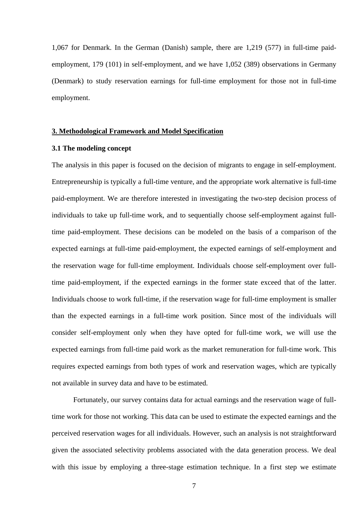1,067 for Denmark. In the German (Danish) sample, there are 1,219 (577) in full-time paidemployment, 179 (101) in self-employment, and we have 1,052 (389) observations in Germany (Denmark) to study reservation earnings for full-time employment for those not in full-time employment.

#### **3. Methodological Framework and Model Specification**

#### **3.1 The modeling concept**

The analysis in this paper is focused on the decision of migrants to engage in self-employment. Entrepreneurship is typically a full-time venture, and the appropriate work alternative is full-time paid-employment. We are therefore interested in investigating the two-step decision process of individuals to take up full-time work, and to sequentially choose self-employment against fulltime paid-employment. These decisions can be modeled on the basis of a comparison of the expected earnings at full-time paid-employment, the expected earnings of self-employment and the reservation wage for full-time employment. Individuals choose self-employment over fulltime paid-employment, if the expected earnings in the former state exceed that of the latter. Individuals choose to work full-time, if the reservation wage for full-time employment is smaller than the expected earnings in a full-time work position. Since most of the individuals will consider self-employment only when they have opted for full-time work, we will use the expected earnings from full-time paid work as the market remuneration for full-time work. This requires expected earnings from both types of work and reservation wages, which are typically not available in survey data and have to be estimated.

 Fortunately, our survey contains data for actual earnings and the reservation wage of fulltime work for those not working. This data can be used to estimate the expected earnings and the perceived reservation wages for all individuals. However, such an analysis is not straightforward given the associated selectivity problems associated with the data generation process. We deal with this issue by employing a three-stage estimation technique. In a first step we estimate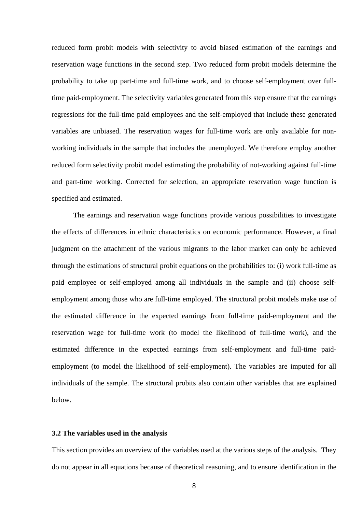reduced form probit models with selectivity to avoid biased estimation of the earnings and reservation wage functions in the second step. Two reduced form probit models determine the probability to take up part-time and full-time work, and to choose self-employment over fulltime paid-employment. The selectivity variables generated from this step ensure that the earnings regressions for the full-time paid employees and the self-employed that include these generated variables are unbiased. The reservation wages for full-time work are only available for nonworking individuals in the sample that includes the unemployed. We therefore employ another reduced form selectivity probit model estimating the probability of not-working against full-time and part-time working. Corrected for selection, an appropriate reservation wage function is specified and estimated.

 The earnings and reservation wage functions provide various possibilities to investigate the effects of differences in ethnic characteristics on economic performance. However, a final judgment on the attachment of the various migrants to the labor market can only be achieved through the estimations of structural probit equations on the probabilities to: (i) work full-time as paid employee or self-employed among all individuals in the sample and (ii) choose selfemployment among those who are full-time employed. The structural probit models make use of the estimated difference in the expected earnings from full-time paid-employment and the reservation wage for full-time work (to model the likelihood of full-time work), and the estimated difference in the expected earnings from self-employment and full-time paidemployment (to model the likelihood of self-employment). The variables are imputed for all individuals of the sample. The structural probits also contain other variables that are explained below.

#### **3.2 The variables used in the analysis**

This section provides an overview of the variables used at the various steps of the analysis. They do not appear in all equations because of theoretical reasoning, and to ensure identification in the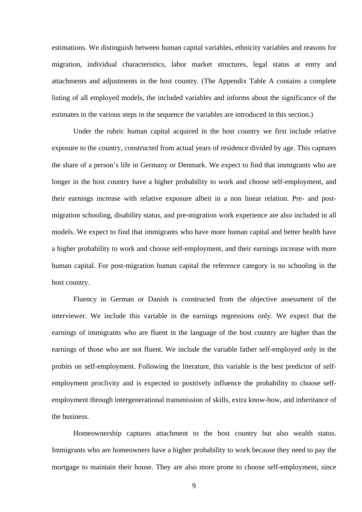estimations. We distinguish between human capital variables, ethnicity variables and reasons for migration, individual characteristics, labor market structures, legal status at entry and attachments and adjustments in the host country. (The Appendix Table A contains a complete listing of all employed models, the included variables and informs about the significance of the estimates in the various steps in the sequence the variables are introduced in this section.)

Under the rubric human capital acquired in the host country we first include relative exposure to the country, constructed from actual years of residence divided by age. This captures the share of a person's life in Germany or Denmark. We expect to find that immigrants who are longer in the host country have a higher probability to work and choose self-employment, and their earnings increase with relative exposure albeit in a non linear relation. Pre- and postmigration schooling, disability status, and pre-migration work experience are also included in all models. We expect to find that immigrants who have more human capital and better health have a higher probability to work and choose self-employment, and their earnings increase with more human capital. For post-migration human capital the reference category is no schooling in the host country.

Fluency in German or Danish is constructed from the objective assessment of the interviewer. We include this variable in the earnings regressions only. We expect that the earnings of immigrants who are fluent in the language of the host country are higher than the earnings of those who are not fluent. We include the variable father self-employed only in the probits on self-employment. Following the literature, this variable is the best predictor of selfemployment proclivity and is expected to positively influence the probability to choose selfemployment through intergenerational transmission of skills, extra know-how, and inheritance of the business.

Homeownership captures attachment to the host country but also wealth status. Immigrants who are homeowners have a higher probability to work because they need to pay the mortgage to maintain their house. They are also more prone to choose self-employment, since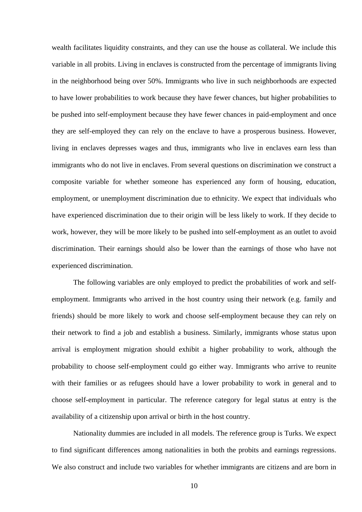wealth facilitates liquidity constraints, and they can use the house as collateral. We include this variable in all probits. Living in enclaves is constructed from the percentage of immigrants living in the neighborhood being over 50%. Immigrants who live in such neighborhoods are expected to have lower probabilities to work because they have fewer chances, but higher probabilities to be pushed into self-employment because they have fewer chances in paid-employment and once they are self-employed they can rely on the enclave to have a prosperous business. However, living in enclaves depresses wages and thus, immigrants who live in enclaves earn less than immigrants who do not live in enclaves. From several questions on discrimination we construct a composite variable for whether someone has experienced any form of housing, education, employment, or unemployment discrimination due to ethnicity. We expect that individuals who have experienced discrimination due to their origin will be less likely to work. If they decide to work, however, they will be more likely to be pushed into self-employment as an outlet to avoid discrimination. Their earnings should also be lower than the earnings of those who have not experienced discrimination.

The following variables are only employed to predict the probabilities of work and selfemployment. Immigrants who arrived in the host country using their network (e.g. family and friends) should be more likely to work and choose self-employment because they can rely on their network to find a job and establish a business. Similarly, immigrants whose status upon arrival is employment migration should exhibit a higher probability to work, although the probability to choose self-employment could go either way. Immigrants who arrive to reunite with their families or as refugees should have a lower probability to work in general and to choose self-employment in particular. The reference category for legal status at entry is the availability of a citizenship upon arrival or birth in the host country.

Nationality dummies are included in all models. The reference group is Turks. We expect to find significant differences among nationalities in both the probits and earnings regressions. We also construct and include two variables for whether immigrants are citizens and are born in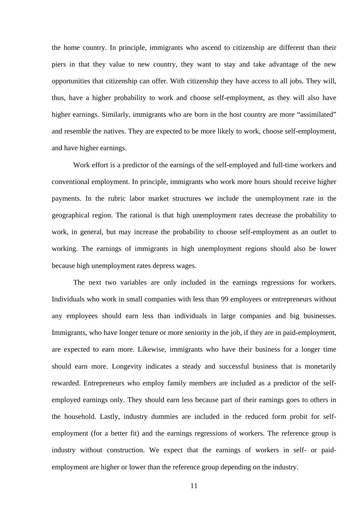the home country. In principle, immigrants who ascend to citizenship are different than their piers in that they value to new country, they want to stay and take advantage of the new opportunities that citizenship can offer. With citizenship they have access to all jobs. They will, thus, have a higher probability to work and choose self-employment, as they will also have higher earnings. Similarly, immigrants who are born in the host country are more "assimilated" and resemble the natives. They are expected to be more likely to work, choose self-employment, and have higher earnings.

Work effort is a predictor of the earnings of the self-employed and full-time workers and conventional employment. In principle, immigrants who work more hours should receive higher payments. In the rubric labor market structures we include the unemployment rate in the geographical region. The rational is that high unemployment rates decrease the probability to work, in general, but may increase the probability to choose self-employment as an outlet to working. The earnings of immigrants in high unemployment regions should also be lower because high unemployment rates depress wages.

The next two variables are only included in the earnings regressions for workers. Individuals who work in small companies with less than 99 employees or entrepreneurs without any employees should earn less than individuals in large companies and big businesses. Immigrants, who have longer tenure or more seniority in the job, if they are in paid-employment, are expected to earn more. Likewise, immigrants who have their business for a longer time should earn more. Longevity indicates a steady and successful business that is monetarily rewarded. Entrepreneurs who employ family members are included as a predictor of the selfemployed earnings only. They should earn less because part of their earnings goes to others in the household. Lastly, industry dummies are included in the reduced form probit for selfemployment (for a better fit) and the earnings regressions of workers. The reference group is industry without construction. We expect that the earnings of workers in self- or paidemployment are higher or lower than the reference group depending on the industry.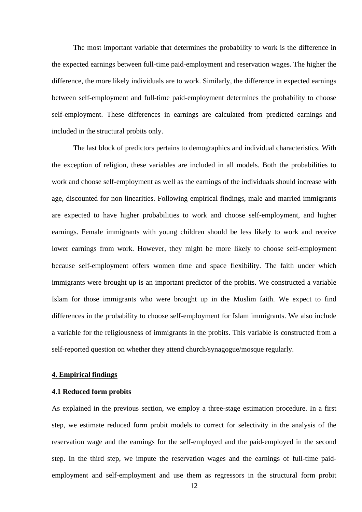The most important variable that determines the probability to work is the difference in the expected earnings between full-time paid-employment and reservation wages. The higher the difference, the more likely individuals are to work. Similarly, the difference in expected earnings between self-employment and full-time paid-employment determines the probability to choose self-employment. These differences in earnings are calculated from predicted earnings and included in the structural probits only.

The last block of predictors pertains to demographics and individual characteristics. With the exception of religion, these variables are included in all models. Both the probabilities to work and choose self-employment as well as the earnings of the individuals should increase with age, discounted for non linearities. Following empirical findings, male and married immigrants are expected to have higher probabilities to work and choose self-employment, and higher earnings. Female immigrants with young children should be less likely to work and receive lower earnings from work. However, they might be more likely to choose self-employment because self-employment offers women time and space flexibility. The faith under which immigrants were brought up is an important predictor of the probits. We constructed a variable Islam for those immigrants who were brought up in the Muslim faith. We expect to find differences in the probability to choose self-employment for Islam immigrants. We also include a variable for the religiousness of immigrants in the probits. This variable is constructed from a self-reported question on whether they attend church/synagogue/mosque regularly.

#### **4. Empirical findings**

#### **4.1 Reduced form probits**

As explained in the previous section, we employ a three-stage estimation procedure. In a first step, we estimate reduced form probit models to correct for selectivity in the analysis of the reservation wage and the earnings for the self-employed and the paid-employed in the second step. In the third step, we impute the reservation wages and the earnings of full-time paidemployment and self-employment and use them as regressors in the structural form probit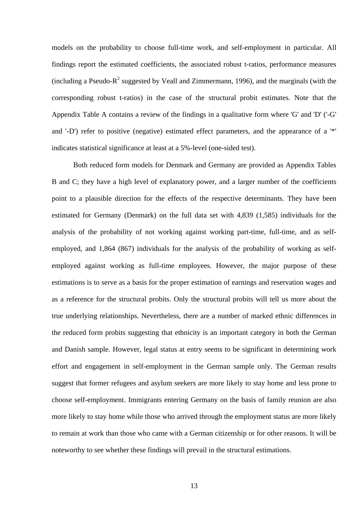models on the probability to choose full-time work, and self-employment in particular. All findings report the estimated coefficients, the associated robust t-ratios, performance measures (including a Pseudo- $R^2$  suggested by Veall and Zimmermann, 1996), and the marginals (with the corresponding robust t-ratios) in the case of the structural probit estimates. Note that the Appendix Table A contains a review of the findings in a qualitative form where 'G' and 'D' ('-G' and '-D') refer to positive (negative) estimated effect parameters, and the appearance of a '\*' indicates statistical significance at least at a 5%-level (one-sided test).

 Both reduced form models for Denmark and Germany are provided as Appendix Tables B and C; they have a high level of explanatory power, and a larger number of the coefficients point to a plausible direction for the effects of the respective determinants. They have been estimated for Germany (Denmark) on the full data set with 4,839 (1,585) individuals for the analysis of the probability of not working against working part-time, full-time, and as selfemployed, and 1,864 (867) individuals for the analysis of the probability of working as selfemployed against working as full-time employees. However, the major purpose of these estimations is to serve as a basis for the proper estimation of earnings and reservation wages and as a reference for the structural probits. Only the structural probits will tell us more about the true underlying relationships. Nevertheless, there are a number of marked ethnic differences in the reduced form probits suggesting that ethnicity is an important category in both the German and Danish sample. However, legal status at entry seems to be significant in determining work effort and engagement in self-employment in the German sample only. The German results suggest that former refugees and asylum seekers are more likely to stay home and less prone to choose self-employment. Immigrants entering Germany on the basis of family reunion are also more likely to stay home while those who arrived through the employment status are more likely to remain at work than those who came with a German citizenship or for other reasons. It will be noteworthy to see whether these findings will prevail in the structural estimations.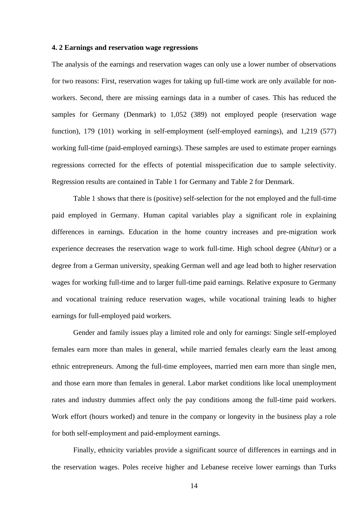#### **4. 2 Earnings and reservation wage regressions**

The analysis of the earnings and reservation wages can only use a lower number of observations for two reasons: First, reservation wages for taking up full-time work are only available for nonworkers. Second, there are missing earnings data in a number of cases. This has reduced the samples for Germany (Denmark) to 1,052 (389) not employed people (reservation wage function), 179 (101) working in self-employment (self-employed earnings), and 1,219 (577) working full-time (paid-employed earnings). These samples are used to estimate proper earnings regressions corrected for the effects of potential misspecification due to sample selectivity. Regression results are contained in Table 1 for Germany and Table 2 for Denmark.

 Table 1 shows that there is (positive) self-selection for the not employed and the full-time paid employed in Germany. Human capital variables play a significant role in explaining differences in earnings. Education in the home country increases and pre-migration work experience decreases the reservation wage to work full-time. High school degree (*Abitur*) or a degree from a German university, speaking German well and age lead both to higher reservation wages for working full-time and to larger full-time paid earnings. Relative exposure to Germany and vocational training reduce reservation wages, while vocational training leads to higher earnings for full-employed paid workers.

 Gender and family issues play a limited role and only for earnings: Single self-employed females earn more than males in general, while married females clearly earn the least among ethnic entrepreneurs. Among the full-time employees, married men earn more than single men, and those earn more than females in general. Labor market conditions like local unemployment rates and industry dummies affect only the pay conditions among the full-time paid workers. Work effort (hours worked) and tenure in the company or longevity in the business play a role for both self-employment and paid-employment earnings.

 Finally, ethnicity variables provide a significant source of differences in earnings and in the reservation wages. Poles receive higher and Lebanese receive lower earnings than Turks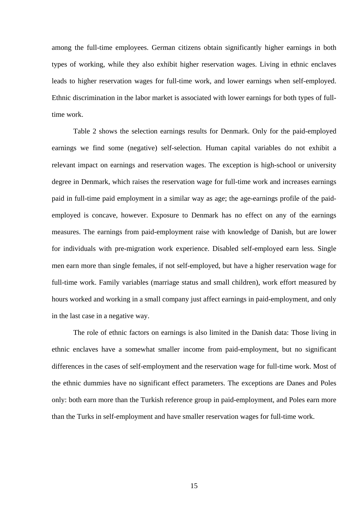among the full-time employees. German citizens obtain significantly higher earnings in both types of working, while they also exhibit higher reservation wages. Living in ethnic enclaves leads to higher reservation wages for full-time work, and lower earnings when self-employed. Ethnic discrimination in the labor market is associated with lower earnings for both types of fulltime work.

 Table 2 shows the selection earnings results for Denmark. Only for the paid-employed earnings we find some (negative) self-selection. Human capital variables do not exhibit a relevant impact on earnings and reservation wages. The exception is high-school or university degree in Denmark, which raises the reservation wage for full-time work and increases earnings paid in full-time paid employment in a similar way as age; the age-earnings profile of the paidemployed is concave, however. Exposure to Denmark has no effect on any of the earnings measures. The earnings from paid-employment raise with knowledge of Danish, but are lower for individuals with pre-migration work experience. Disabled self-employed earn less. Single men earn more than single females, if not self-employed, but have a higher reservation wage for full-time work. Family variables (marriage status and small children), work effort measured by hours worked and working in a small company just affect earnings in paid-employment, and only in the last case in a negative way.

 The role of ethnic factors on earnings is also limited in the Danish data: Those living in ethnic enclaves have a somewhat smaller income from paid-employment, but no significant differences in the cases of self-employment and the reservation wage for full-time work. Most of the ethnic dummies have no significant effect parameters. The exceptions are Danes and Poles only: both earn more than the Turkish reference group in paid-employment, and Poles earn more than the Turks in self-employment and have smaller reservation wages for full-time work.

15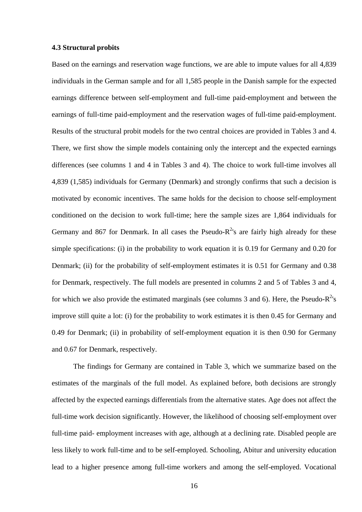#### **4.3 Structural probits**

Based on the earnings and reservation wage functions, we are able to impute values for all 4,839 individuals in the German sample and for all 1,585 people in the Danish sample for the expected earnings difference between self-employment and full-time paid-employment and between the earnings of full-time paid-employment and the reservation wages of full-time paid-employment. Results of the structural probit models for the two central choices are provided in Tables 3 and 4. There, we first show the simple models containing only the intercept and the expected earnings differences (see columns 1 and 4 in Tables 3 and 4). The choice to work full-time involves all 4,839 (1,585) individuals for Germany (Denmark) and strongly confirms that such a decision is motivated by economic incentives. The same holds for the decision to choose self-employment conditioned on the decision to work full-time; here the sample sizes are 1,864 individuals for Germany and 867 for Denmark. In all cases the Pseudo- $R^2$ 's are fairly high already for these simple specifications: (i) in the probability to work equation it is 0.19 for Germany and 0.20 for Denmark; (ii) for the probability of self-employment estimates it is 0.51 for Germany and 0.38 for Denmark, respectively. The full models are presented in columns 2 and 5 of Tables 3 and 4, for which we also provide the estimated marginals (see columns 3 and 6). Here, the Pseudo- $R^2$ 's improve still quite a lot: (i) for the probability to work estimates it is then 0.45 for Germany and 0.49 for Denmark; (ii) in probability of self-employment equation it is then 0.90 for Germany and 0.67 for Denmark, respectively.

 The findings for Germany are contained in Table 3, which we summarize based on the estimates of the marginals of the full model. As explained before, both decisions are strongly affected by the expected earnings differentials from the alternative states. Age does not affect the full-time work decision significantly. However, the likelihood of choosing self-employment over full-time paid- employment increases with age, although at a declining rate. Disabled people are less likely to work full-time and to be self-employed. Schooling, Abitur and university education lead to a higher presence among full-time workers and among the self-employed. Vocational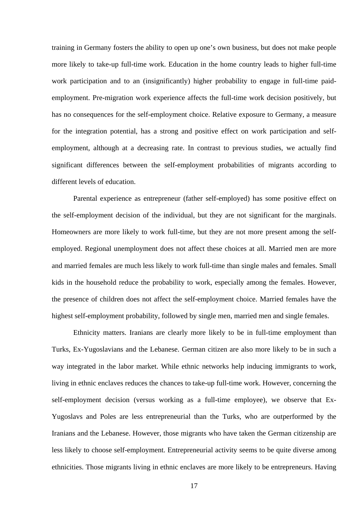training in Germany fosters the ability to open up one's own business, but does not make people more likely to take-up full-time work. Education in the home country leads to higher full-time work participation and to an (insignificantly) higher probability to engage in full-time paidemployment. Pre-migration work experience affects the full-time work decision positively, but has no consequences for the self-employment choice. Relative exposure to Germany, a measure for the integration potential, has a strong and positive effect on work participation and selfemployment, although at a decreasing rate. In contrast to previous studies, we actually find significant differences between the self-employment probabilities of migrants according to different levels of education.

 Parental experience as entrepreneur (father self-employed) has some positive effect on the self-employment decision of the individual, but they are not significant for the marginals. Homeowners are more likely to work full-time, but they are not more present among the selfemployed. Regional unemployment does not affect these choices at all. Married men are more and married females are much less likely to work full-time than single males and females. Small kids in the household reduce the probability to work, especially among the females. However, the presence of children does not affect the self-employment choice. Married females have the highest self-employment probability, followed by single men, married men and single females.

 Ethnicity matters. Iranians are clearly more likely to be in full-time employment than Turks, Ex-Yugoslavians and the Lebanese. German citizen are also more likely to be in such a way integrated in the labor market. While ethnic networks help inducing immigrants to work, living in ethnic enclaves reduces the chances to take-up full-time work. However, concerning the self-employment decision (versus working as a full-time employee), we observe that Ex-Yugoslavs and Poles are less entrepreneurial than the Turks, who are outperformed by the Iranians and the Lebanese. However, those migrants who have taken the German citizenship are less likely to choose self-employment. Entrepreneurial activity seems to be quite diverse among ethnicities. Those migrants living in ethnic enclaves are more likely to be entrepreneurs. Having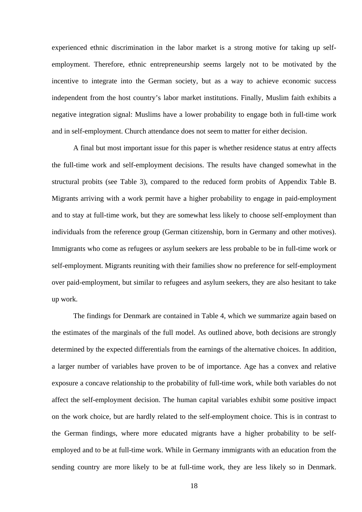experienced ethnic discrimination in the labor market is a strong motive for taking up selfemployment. Therefore, ethnic entrepreneurship seems largely not to be motivated by the incentive to integrate into the German society, but as a way to achieve economic success independent from the host country's labor market institutions. Finally, Muslim faith exhibits a negative integration signal: Muslims have a lower probability to engage both in full-time work and in self-employment. Church attendance does not seem to matter for either decision.

 A final but most important issue for this paper is whether residence status at entry affects the full-time work and self-employment decisions. The results have changed somewhat in the structural probits (see Table 3), compared to the reduced form probits of Appendix Table B. Migrants arriving with a work permit have a higher probability to engage in paid-employment and to stay at full-time work, but they are somewhat less likely to choose self-employment than individuals from the reference group (German citizenship, born in Germany and other motives). Immigrants who come as refugees or asylum seekers are less probable to be in full-time work or self-employment. Migrants reuniting with their families show no preference for self-employment over paid-employment, but similar to refugees and asylum seekers, they are also hesitant to take up work.

 The findings for Denmark are contained in Table 4, which we summarize again based on the estimates of the marginals of the full model. As outlined above, both decisions are strongly determined by the expected differentials from the earnings of the alternative choices. In addition, a larger number of variables have proven to be of importance. Age has a convex and relative exposure a concave relationship to the probability of full-time work, while both variables do not affect the self-employment decision. The human capital variables exhibit some positive impact on the work choice, but are hardly related to the self-employment choice. This is in contrast to the German findings, where more educated migrants have a higher probability to be selfemployed and to be at full-time work. While in Germany immigrants with an education from the sending country are more likely to be at full-time work, they are less likely so in Denmark.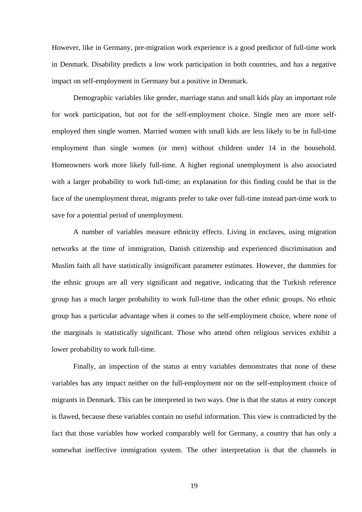However, like in Germany, pre-migration work experience is a good predictor of full-time work in Denmark. Disability predicts a low work participation in both countries, and has a negative impact on self-employment in Germany but a positive in Denmark.

 Demographic variables like gender, marriage status and small kids play an important role for work participation, but not for the self-employment choice. Single men are more selfemployed then single women. Married women with small kids are less likely to be in full-time employment than single women (or men) without children under 14 in the household. Homeowners work more likely full-time. A higher regional unemployment is also associated with a larger probability to work full-time; an explanation for this finding could be that in the face of the unemployment threat, migrants prefer to take over full-time instead part-time work to save for a potential period of unemployment.

 A number of variables measure ethnicity effects. Living in enclaves, using migration networks at the time of immigration, Danish citizenship and experienced discrimination and Muslim faith all have statistically insignificant parameter estimates. However, the dummies for the ethnic groups are all very significant and negative, indicating that the Turkish reference group has a much larger probability to work full-time than the other ethnic groups. No ethnic group has a particular advantage when it comes to the self-employment choice, where none of the marginals is statistically significant. Those who attend often religious services exhibit a lower probability to work full-time.

 Finally, an inspection of the status at entry variables demonstrates that none of these variables has any impact neither on the full-employment nor on the self-employment choice of migrants in Denmark. This can be interpreted in two ways. One is that the status at entry concept is flawed, because these variables contain no useful information. This view is contradicted by the fact that those variables how worked comparably well for Germany, a country that has only a somewhat ineffective immigration system. The other interpretation is that the channels in

19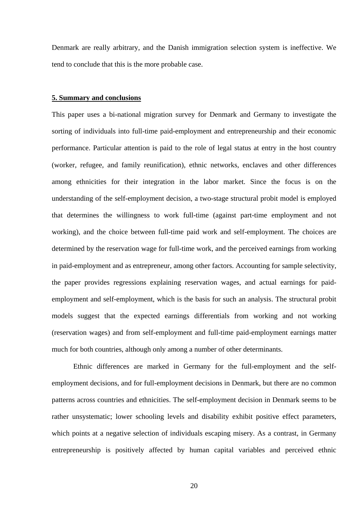Denmark are really arbitrary, and the Danish immigration selection system is ineffective. We tend to conclude that this is the more probable case.

#### **5. Summary and conclusions**

This paper uses a bi-national migration survey for Denmark and Germany to investigate the sorting of individuals into full-time paid-employment and entrepreneurship and their economic performance. Particular attention is paid to the role of legal status at entry in the host country (worker, refugee, and family reunification), ethnic networks, enclaves and other differences among ethnicities for their integration in the labor market. Since the focus is on the understanding of the self-employment decision, a two-stage structural probit model is employed that determines the willingness to work full-time (against part-time employment and not working), and the choice between full-time paid work and self-employment. The choices are determined by the reservation wage for full-time work, and the perceived earnings from working in paid-employment and as entrepreneur, among other factors. Accounting for sample selectivity, the paper provides regressions explaining reservation wages, and actual earnings for paidemployment and self-employment, which is the basis for such an analysis. The structural probit models suggest that the expected earnings differentials from working and not working (reservation wages) and from self-employment and full-time paid-employment earnings matter much for both countries, although only among a number of other determinants.

 Ethnic differences are marked in Germany for the full-employment and the selfemployment decisions, and for full-employment decisions in Denmark, but there are no common patterns across countries and ethnicities. The self-employment decision in Denmark seems to be rather unsystematic; lower schooling levels and disability exhibit positive effect parameters, which points at a negative selection of individuals escaping misery. As a contrast, in Germany entrepreneurship is positively affected by human capital variables and perceived ethnic

20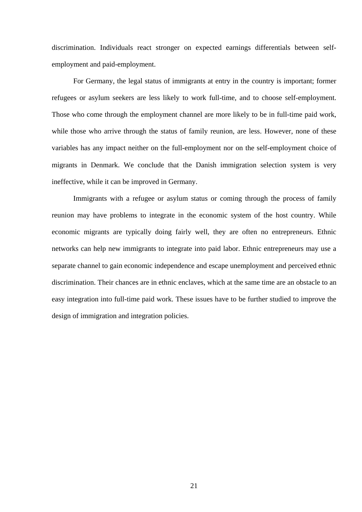discrimination. Individuals react stronger on expected earnings differentials between selfemployment and paid-employment.

 For Germany, the legal status of immigrants at entry in the country is important; former refugees or asylum seekers are less likely to work full-time, and to choose self-employment. Those who come through the employment channel are more likely to be in full-time paid work, while those who arrive through the status of family reunion, are less. However, none of these variables has any impact neither on the full-employment nor on the self-employment choice of migrants in Denmark. We conclude that the Danish immigration selection system is very ineffective, while it can be improved in Germany.

 Immigrants with a refugee or asylum status or coming through the process of family reunion may have problems to integrate in the economic system of the host country. While economic migrants are typically doing fairly well, they are often no entrepreneurs. Ethnic networks can help new immigrants to integrate into paid labor. Ethnic entrepreneurs may use a separate channel to gain economic independence and escape unemployment and perceived ethnic discrimination. Their chances are in ethnic enclaves, which at the same time are an obstacle to an easy integration into full-time paid work. These issues have to be further studied to improve the design of immigration and integration policies.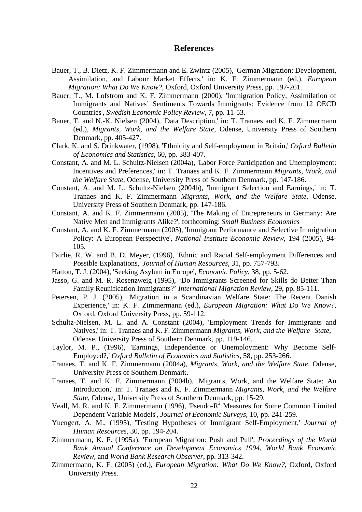#### **References**

- Bauer, T., B. Dietz, K. F. Zimmermann and E. Zwintz (2005), 'German Migration: Development, Assimilation, and Labour Market Effects,' in: K. F. Zimmermann (ed.), *European Migration: What Do We Know?,* Oxford, Oxford University Press, pp. 197-261.
- Bauer, T., M. Lofstrom and K. F. Zimmermann (2000), 'Immigration Policy, Assimilation of Immigrants and Natives' Sentiments Towards Immigrants: Evidence from 12 OECD Countries', *Swedish Economic Policy Review*, 7, pp. 11-53.
- Bauer, T. and N.-K. Nielsen (2004), 'Data Description,' in: T. Tranaes and K. F. Zimmermann (ed.), *Migrants, Work, and the Welfare State*, Odense, University Press of Southern Denmark, pp. 405-427.
- Clark, K. and S. Drinkwater, (1998), 'Ethnicity and Self-employment in Britain,' *Oxford Bulletin of Economics and Statistics*, 60, pp. 383-407.
- Constant, A. and M. L. Schultz-Nielsen (2004a), 'Labor Force Participation and Unemployment: Incentives and Preferences,' in: T. Tranaes and K. F. Zimmermann *Migrants, Work, and the Welfare State*, Odense, University Press of Southern Denmark, pp. 147-186.
- Constant, A. and M. L. Schultz-Nielsen (2004b), 'Immigrant Selection and Earnings,' in: T. Tranaes and K. F. Zimmermann *Migrants, Work, and the Welfare State*, Odense, University Press of Southern Denmark, pp. 147-186.
- Constant, A. and K. F. Zimmermann (2005), 'The Making of Entrepreneurs in Germany: Are Native Men and Immigrants Alike?', forthcoming: *Small Business Economics*
- Constant, A. and K. F. Zimmermann (2005), 'Immigrant Performance and Selective Immigration Policy: A European Perspective', *National Institute Economic Review*, 194 (2005), 94- 105.
- Fairlie, R. W. and B. D. Meyer, (1996), 'Ethnic and Racial Self-employment Differences and Possible Explanations,' *Journal of Human Resources*, 31, pp. 757-793.
- Hatton, T. J. (2004), 'Seeking Asylum in Europe', *Economic Policy*, 38, pp. 5-62.
- Jasso, G. and M. R. Rosenzweig (1995), 'Do Immigrants Screened for Skills do Better Than Family Reunification Immigrants?' *International Migration Review*, 29, pp. 85-111.
- Petersen, P. J. (2005), 'Migration in a Scandinavian Welfare State: The Recent Danish Experience,' in: K. F. Zimmermann (ed.), *European Migration: What Do We Know?,* Oxford, Oxford University Press, pp. 59-112.
- Schultz-Nielsen, M. L. and A. Constant (2004), 'Employment Trends for Immigrants and Natives,' in: T. Tranaes and K. F. Zimmermann *Migrants, Work, and the Welfare State*, Odense, University Press of Southern Denmark, pp. 119-146.
- Taylor, M. P., (1996), 'Earnings, Independence or Unemployment: Why Become Self- Employed?,' *Oxford Bulletin of Economics and Statistics,* 58, pp. 253-266.
- Tranaes, T. and K. F. Zimmermann (2004a), *Migrants, Work, and the Welfare State*, Odense, University Press of Southern Denmark.
- Tranaes, T. and K. F. Zimmermann (2004b), 'Migrants, Work, and the Welfare State: An Introduction,' in: T. Tranaes and K. F. Zimmermann *Migrants, Work, and the Welfare State*, Odense, University Press of Southern Denmark, pp. 15-29.
- Veall, M. R. and K. F. Zimmermann (1996), 'Pseudo- $R^2$  Measures for Some Common Limited Dependent Variable Models', *Journal of Economic Surveys*, 10, pp. 241-259.
- Yuengert, A. M., (1995), 'Testing Hypotheses of Immigrant Self-Employment,' *Journal of Human Resources*, 30, pp. 194-204.
- Zimmermann, K. F. (1995a), 'European Migration: Push and Pull', *Proceedings of the World Bank Annual Conference on Development Economics 1994, World Bank Economic Review,* and *World Bank Research Observer*, pp. 313-342.
- Zimmermann, K. F. (2005) (ed.), *European Migration: What Do We Know?,* Oxford, Oxford University Press.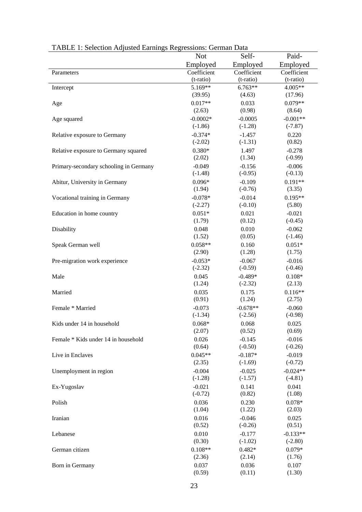| TADLE 1. SCIECTION AUJUSTEU LATINIIS RESIESSIONS. OCHINAI DATA | <b>Not</b>         | Self-                 | Paid-                 |
|----------------------------------------------------------------|--------------------|-----------------------|-----------------------|
|                                                                | Employed           | Employed              | Employed              |
| Parameters                                                     | Coefficient        | Coefficient           | Coefficient           |
|                                                                | (t-ratio)          | (t-ratio)             | (t-ratio)             |
| Intercept                                                      | 5.169**            | $6.763**$             | 4.005**               |
|                                                                | (39.95)            | (4.63)                | (17.96)               |
| Age                                                            | $0.017**$          | 0.033                 | $0.079**$             |
|                                                                | (2.63)             | (0.98)                | (8.64)                |
| Age squared                                                    | $-0.0002*$         | $-0.0005$             | $-0.001**$            |
|                                                                | $(-1.86)$          | $(-1.28)$             | $(-7.87)$             |
| Relative exposure to Germany                                   | $-0.374*$          | $-1.457$              | 0.220                 |
|                                                                | $(-2.02)$          | $(-1.31)$             | (0.82)                |
| Relative exposure to Germany squared                           | $0.380*$           | 1.497                 | $-0.278$              |
|                                                                | (2.02)             | (1.34)                | $(-0.99)$             |
| Primary-secondary schooling in Germany                         | $-0.049$           | $-0.156$              | $-0.006$              |
|                                                                | $(-1.48)$          | $(-0.95)$             | $(-0.13)$             |
| Abitur, University in Germany                                  | $0.096*$           | $-0.109$              | $0.191**$             |
|                                                                | (1.94)             | $(-0.76)$             | (3.35)                |
| Vocational training in Germany                                 | $-0.078*$          | $-0.014$              | $0.195**$             |
|                                                                | $(-2.27)$          | $(-0.10)$             | (5.80)                |
| Education in home country                                      | $0.051*$<br>(1.79) | 0.021<br>(0.12)       | $-0.021$<br>$(-0.45)$ |
|                                                                | 0.048              | 0.010                 | $-0.062$              |
| Disability                                                     | (1.52)             | (0.05)                | $(-1.46)$             |
| Speak German well                                              | $0.058**$          | 0.160                 | $0.051*$              |
|                                                                | (2.90)             | (1.28)                | (1.75)                |
| Pre-migration work experience                                  | $-0.053*$          | $-0.067$              | $-0.016$              |
|                                                                | $(-2.32)$          | $(-0.59)$             | $(-0.46)$             |
| Male                                                           | 0.045              | $-0.489*$             | $0.108*$              |
|                                                                | (1.24)             | $(-2.32)$             | (2.13)                |
| Married                                                        | 0.035              | 0.175                 | $0.116**$             |
|                                                                | (0.91)             | (1.24)                | (2.75)                |
| Female * Married                                               | $-0.073$           | $-0.678**$            | $-0.060$              |
|                                                                | $(-1.34)$          | $(-2.56)$             | $(-0.98)$             |
| Kids under 14 in household                                     | $0.068*$           | 0.068                 | 0.025                 |
|                                                                | (2.07)             | (0.52)                | (0.69)                |
| Female * Kids under 14 in household                            | 0.026              | $-0.145$              | $-0.016$              |
|                                                                | (0.64)             | $(-0.50)$             | $(-0.26)$             |
| Live in Enclaves                                               | $0.045**$          | $-0.187*$             | $-0.019$              |
|                                                                | (2.35)             | $(-1.69)$             | $(-0.72)$             |
| Unemployment in region                                         | $-0.004$           | $-0.025$              | $-0.024**$            |
|                                                                | $(-1.28)$          | $(-1.57)$             | $(-4.81)$             |
| Ex-Yugoslav                                                    | $-0.021$           | 0.141                 | 0.041                 |
|                                                                | $(-0.72)$          | (0.82)                | (1.08)                |
| Polish                                                         | 0.036              | 0.230                 | $0.078*$              |
|                                                                | (1.04)             | (1.22)                | (2.03)                |
| Iranian                                                        | 0.016<br>(0.52)    | $-0.046$<br>$(-0.26)$ | 0.025<br>(0.51)       |
| Lebanese                                                       | 0.010              | $-0.177$              | $-0.133**$            |
|                                                                | (0.30)             | $(-1.02)$             | $(-2.80)$             |
| German citizen                                                 | $0.108**$          | $0.482*$              | $0.079*$              |
|                                                                | (2.36)             | (2.14)                | (1.76)                |
| Born in Germany                                                | 0.037              | 0.036                 | 0.107                 |
|                                                                | (0.59)             | (0.11)                | (1.30)                |
|                                                                |                    |                       |                       |

| TABLE 1: Selection Adjusted Earnings Regressions: German Data |  |  |
|---------------------------------------------------------------|--|--|
|                                                               |  |  |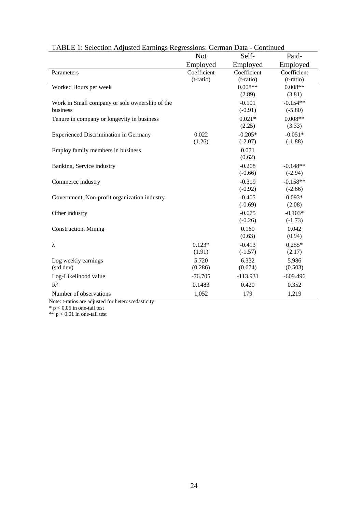|                                                | <b>Not</b>  | Self-       | Paid-       |
|------------------------------------------------|-------------|-------------|-------------|
|                                                | Employed    | Employed    | Employed    |
| Parameters                                     | Coefficient | Coefficient | Coefficient |
|                                                | $(t-ratio)$ | (t-ratio)   | (t-ratio)   |
| Worked Hours per week                          |             | $0.008**$   | $0.008**$   |
|                                                |             | (2.89)      | (3.81)      |
| Work in Small company or sole ownership of the |             | $-0.101$    | $-0.154**$  |
| business                                       |             | $(-0.91)$   | $(-5.80)$   |
| Tenure in company or longevity in business     |             | $0.021*$    | $0.008**$   |
|                                                |             | (2.25)      | (3.33)      |
| <b>Experienced Discrimination in Germany</b>   | 0.022       | $-0.205*$   | $-0.051*$   |
|                                                | (1.26)      | $(-2.07)$   | $(-1.88)$   |
| Employ family members in business              |             | 0.071       |             |
|                                                |             | (0.62)      |             |
| Banking, Service industry                      |             | $-0.208$    | $-0.148**$  |
|                                                |             | $(-0.66)$   | $(-2.94)$   |
| Commerce industry                              |             | $-0.319$    | $-0.158**$  |
|                                                |             | $(-0.92)$   | $(-2.66)$   |
| Government, Non-profit organization industry   |             | $-0.405$    | $0.093*$    |
|                                                |             | $(-0.69)$   | (2.08)      |
| Other industry                                 |             | $-0.075$    | $-0.103*$   |
|                                                |             | $(-0.26)$   | $(-1.73)$   |
| Construction, Mining                           |             | 0.160       | 0.042       |
|                                                |             | (0.63)      | (0.94)      |
| λ                                              | $0.123*$    | $-0.413$    | $0.255*$    |
|                                                | (1.91)      | $(-1.57)$   | (2.17)      |
| Log weekly earnings                            | 5.720       | 6.332       | 5.986       |
| (std.dev)                                      | (0.286)     | (0.674)     | (0.503)     |
| Log-Likelihood value                           | $-76.705$   | $-113.931$  | $-609.496$  |
| $R^2$                                          | 0.1483      | 0.420       | 0.352       |
| Number of observations                         | 1,052       | 179         | 1,219       |

| TABLE 1: Selection Adjusted Earnings Regressions: German Data - Continued |  |
|---------------------------------------------------------------------------|--|
|                                                                           |  |

Note: t-ratios are adjusted for heteroscedasticity

 $*$  p < 0.05 in one-tail test

 $** p < 0.01$  in one-tail test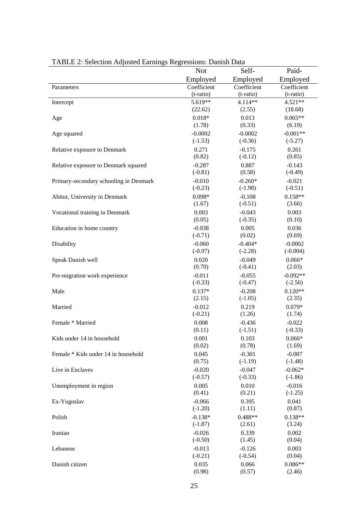|                                        | <b>Not</b>  | Self-       | Paid-       |
|----------------------------------------|-------------|-------------|-------------|
|                                        | Employed    | Employed    | Employed    |
| Parameters                             | Coefficient | Coefficient | Coefficient |
|                                        | (t-ratio)   | (t-ratio)   | (t-ratio)   |
| Intercept                              | 5.619**     | 4.114**     | 4.521**     |
|                                        | (22.62)     | (2.55)      | (18.68)     |
| Age                                    | $0.018*$    | 0.013       | $0.065**$   |
|                                        | (1.78)      | (0.33)      | (6.19)      |
| Age squared                            | $-0.0002$   | $-0.0002$   | $-0.001**$  |
|                                        | $(-1.53)$   | $(-0.36)$   | $(-5.27)$   |
| Relative exposure to Denmark           | 0.271       | $-0.175$    | 0.261       |
|                                        | (0.82)      | $(-0.12)$   | (0.85)      |
| Relative exposure to Denmark squared   | $-0.287$    | 0.887       | $-0.143$    |
|                                        | $(-0.81)$   | (0.58)      | $(-0.49)$   |
| Primary-secondary schooling in Denmark | $-0.010$    | $-0.260*$   | $-0.021$    |
|                                        | $(-0.23)$   | $(-1.98)$   | $(-0.51)$   |
| Abitur, University in Denmark          | $0.098*$    | $-0.108$    | $0.158**$   |
|                                        | (1.67)      | $(-0.51)$   | (3.66)      |
| Vocational training in Denmark         | 0.003       | $-0.043$    | 0.003       |
|                                        | (0.05)      | $(-0.35)$   | (0.10)      |
| Education in home country              | $-0.038$    | 0.005       | 0.036       |
|                                        | $(-0.71)$   | (0.02)      | (0.69)      |
| Disability                             | $-0.060$    | $-0.404*$   | $-0.0002$   |
|                                        | $(-0.97)$   | $(-2.28)$   | $(-0.004)$  |
| Speak Danish well                      | 0.020       | $-0.049$    | $0.066*$    |
|                                        | (0.70)      | $(-0.41)$   | (2.03)      |
| Pre-migration work experience          | $-0.011$    | $-0.055$    | $-0.092**$  |
|                                        | $(-0.33)$   | $(-0.47)$   | $(-2.56)$   |
| Male                                   | $0.137*$    | $-0.208$    | $0.120**$   |
|                                        | (2.15)      | $(-1.05)$   | (2.35)      |
| Married                                | $-0.012$    | 0.219       | $0.079*$    |
|                                        | $(-0.21)$   | (1.26)      | (1.74)      |
| Female * Married                       | 0.008       | $-0.436$    | $-0.022$    |
|                                        | (0.11)      | $(-1.51)$   | $(-0.33)$   |
| Kids under 14 in household             | 0.001       | 0.103       | $0.066*$    |
|                                        | (0.02)      | (0.78)      | (1.69)      |
| Female * Kids under 14 in household    | 0.045       | $-0.301$    | $-0.087$    |
|                                        | (0.75)      | $(-1.19)$   | $(-1.48)$   |
| Live in Enclaves                       | $-0.020$    | $-0.047$    | $-0.062*$   |
|                                        | $(-0.57)$   | $(-0.33)$   | $(-1.86)$   |
| Unemployment in region                 | 0.005       | 0.010       | $-0.016$    |
|                                        | (0.41)      | (0.21)      | $(-1.25)$   |
| Ex-Yugoslav                            | $-0.066$    | 0.395       | 0.041       |
|                                        | $(-1.20)$   | (1.11)      | (0.87)      |
| Polish                                 | $-0.138*$   | $0.488**$   | $0.138**$   |
|                                        | $(-1.87)$   | (2.61)      | (3.24)      |
| Iranian                                | $-0.026$    | 0.339       | 0.002       |
|                                        | $(-0.50)$   | (1.45)      | (0.04)      |
| Lebanese                               | $-0.013$    | $-0.126$    | 0.003       |
|                                        | $(-0.21)$   | $(-0.54)$   | (0.04)      |
| Danish citizen                         | 0.035       | 0.066       | $0.086**$   |
|                                        | (0.98)      | (0.57)      | (2.46)      |

TABLE 2: Selection Adjusted Earnings Regressions: Danish Data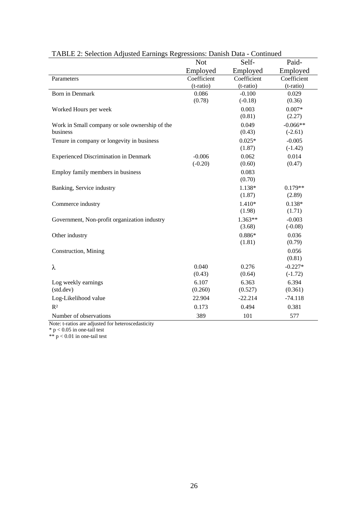|                                                            | <b>Not</b>               | Self-                    | Paid-                    |
|------------------------------------------------------------|--------------------------|--------------------------|--------------------------|
|                                                            | Employed                 | Employed                 | Employed                 |
| Parameters                                                 | Coefficient<br>(t-ratio) | Coefficient<br>(t-ratio) | Coefficient<br>(t-ratio) |
| <b>Born in Denmark</b>                                     | 0.086<br>(0.78)          | $-0.100$<br>$(-0.18)$    | 0.029<br>(0.36)          |
| Worked Hours per week                                      |                          | 0.003<br>(0.81)          | $0.007*$<br>(2.27)       |
| Work in Small company or sole ownership of the<br>business |                          | 0.049<br>(0.43)          | $-0.066**$<br>$(-2.61)$  |
| Tenure in company or longevity in business                 |                          | $0.025*$<br>(1.87)       | $-0.005$<br>$(-1.42)$    |
| <b>Experienced Discrimination in Denmark</b>               | $-0.006$<br>$(-0.20)$    | 0.062<br>(0.60)          | 0.014<br>(0.47)          |
| Employ family members in business                          |                          | 0.083<br>(0.70)          |                          |
| Banking, Service industry                                  |                          | 1.138*<br>(1.87)         | $0.179**$<br>(2.89)      |
| Commerce industry                                          |                          | $1.410*$<br>(1.98)       | $0.138*$<br>(1.71)       |
| Government, Non-profit organization industry               |                          | $1.363**$<br>(3.68)      | $-0.003$<br>$(-0.08)$    |
| Other industry                                             |                          | $0.886*$<br>(1.81)       | 0.036<br>(0.79)          |
| Construction, Mining                                       |                          |                          | 0.056<br>(0.81)          |
| λ                                                          | 0.040<br>(0.43)          | 0.276<br>(0.64)          | $-0.227*$<br>$(-1.72)$   |
| Log weekly earnings<br>(std.dev)                           | 6.107<br>(0.260)         | 6.363<br>(0.527)         | 6.394<br>(0.361)         |
| Log-Likelihood value                                       | 22.904                   | $-22.214$                | $-74.118$                |
| R <sup>2</sup>                                             | 0.173                    | 0.494                    | 0.381                    |
| Number of observations                                     | 389                      | 101                      | 577                      |

### TABLE 2: Selection Adjusted Earnings Regressions: Danish Data - Continued

Note: t-ratios are adjusted for heteroscedasticity

 $*$  p < 0.05 in one-tail test

 $** p < 0.01$  in one-tail test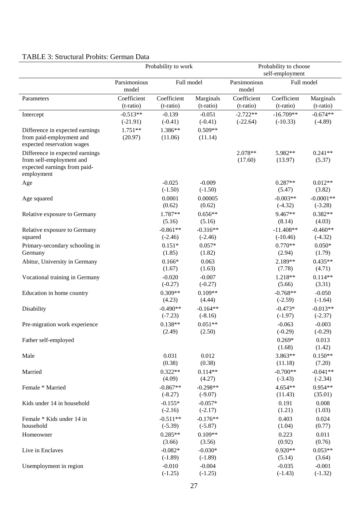### TABLE 3: Structural Probits: German Data

|                                                                                                           | Probability to work      |                          |                         | Probability to choose<br>self-employment |                           |                          |  |
|-----------------------------------------------------------------------------------------------------------|--------------------------|--------------------------|-------------------------|------------------------------------------|---------------------------|--------------------------|--|
|                                                                                                           | Parsimonious<br>model    | Full model               |                         | Parsimonious<br>model                    | Full model                |                          |  |
| Parameters                                                                                                | Coefficient<br>(t-ratio) | Coefficient<br>(t-ratio) | Marginals<br>(t-ratio)  | Coefficient<br>(t-ratio)                 | Coefficient<br>(t-ratio)  | Marginals<br>$(t-ratio)$ |  |
| Intercept                                                                                                 | $-0.513**$<br>$(-21.91)$ | $-0.139$<br>$(-0.41)$    | $-0.051$<br>$(-0.41)$   | $-2.722**$<br>$(-22.64)$                 | $-16.709**$<br>$(-10.33)$ | $-0.674**$<br>$(-4.89)$  |  |
| Difference in expected earnings<br>from paid-employment and<br>expected reservation wages                 | $1.751**$<br>(20.97)     | 1.386**<br>(11.06)       | $0.509**$<br>(11.14)    |                                          |                           |                          |  |
| Difference in expected earnings<br>from self-employment and<br>expected earnings from paid-<br>employment |                          |                          |                         | 2.078**<br>(17.60)                       | 5.982**<br>(13.97)        | $0.241**$<br>(5.37)      |  |
| Age                                                                                                       |                          | $-0.025$<br>$(-1.50)$    | $-0.009$<br>$(-1.50)$   |                                          | $0.287**$<br>(5.47)       | $0.012**$<br>(3.82)      |  |
| Age squared                                                                                               |                          | 0.0001<br>(0.62)         | 0.00005<br>(0.62)       |                                          | $-0.003**$<br>$(-4.32)$   | $-0.0001**$<br>$(-3.28)$ |  |
| Relative exposure to Germany                                                                              |                          | 1.787**<br>(5.16)        | $0.656**$<br>(5.16)     |                                          | 9.467**<br>(8.14)         | $0.382**$<br>(4.03)      |  |
| Relative exposure to Germany<br>squared                                                                   |                          | $-0.861**$<br>$(-2.46)$  | $-0.316**$<br>$(-2.46)$ |                                          | $-11.408**$<br>$(-10.46)$ | $-0.460**$<br>$(-4.32)$  |  |
| Primary-secondary schooling in<br>Germany                                                                 |                          | $0.151*$<br>(1.85)       | $0.057*$<br>(1.82)      |                                          | $0.770**$<br>(2.94)       | $0.050*$<br>(1.79)       |  |
| Abitur, University in Germany                                                                             |                          | $0.166*$<br>(1.67)       | 0.063<br>(1.63)         |                                          | 2.189**<br>(7.78)         | $0.435**$<br>(4.71)      |  |
| Vocational training in Germany                                                                            |                          | $-0.020$<br>$(-0.27)$    | $-0.007$<br>$(-0.27)$   |                                          | 1.218**<br>(5.66)         | $0.114**$<br>(3.31)      |  |
| Education in home country                                                                                 |                          | $0.309**$<br>(4.23)      | $0.109**$<br>(4.44)     |                                          | $-0.768**$<br>$(-2.59)$   | $-0.050$<br>$(-1.64)$    |  |
| Disability                                                                                                |                          | $-0.490**$<br>$(-7.23)$  | $-0.164**$<br>$(-8.16)$ |                                          | $-0.473*$<br>$(-1.97)$    | $-0.013**$<br>$(-2.37)$  |  |
| Pre-migration work experience                                                                             |                          | $0.138**$<br>(2.49)      | $0.051**$<br>(2.50)     |                                          | $-0.063$<br>$(-0.29)$     | $-0.003$<br>$(-0.29)$    |  |
| Father self-employed                                                                                      |                          |                          |                         |                                          | $0.269*$<br>(1.68)        | 0.013<br>(1.42)          |  |
| Male                                                                                                      |                          | 0.031<br>(0.38)          | 0.012<br>(0.38)         |                                          | $3.863**$<br>(11.18)      | $0.150**$<br>(7.20)      |  |
| Married                                                                                                   |                          | $0.322**$<br>(4.09)      | $0.114**$<br>(4.27)     |                                          | $-0.700**$<br>$(-3.43)$   | $-0.041**$<br>$(-2.34)$  |  |
| Female * Married                                                                                          |                          | $-0.867**$<br>$(-8.27)$  | $-0.298**$<br>$(-9.07)$ |                                          | 4.654**<br>(11.43)        | $0.954**$<br>(35.01)     |  |
| Kids under 14 in household                                                                                |                          | $-0.155*$<br>$(-2.16)$   | $-0.057*$<br>$(-2.17)$  |                                          | 0.191<br>(1.21)           | 0.008<br>(1.03)          |  |
| Female * Kids under 14 in<br>household                                                                    |                          | $-0.511**$<br>$(-5.39)$  | $-0.176**$<br>$(-5.87)$ |                                          | 0.403<br>(1.04)           | 0.024<br>(0.77)          |  |
| Homeowner                                                                                                 |                          | $0.285**$<br>(3.66)      | $0.109**$<br>(3.56)     |                                          | 0.223<br>(0.92)           | 0.011<br>(0.76)          |  |
| Live in Enclaves                                                                                          |                          | $-0.082*$<br>$(-1.89)$   | $-0.030*$<br>$(-1.89)$  |                                          | $0.920**$<br>(5.14)       | $0.053**$<br>(3.64)      |  |
| Unemployment in region                                                                                    |                          | $-0.010$<br>$(-1.25)$    | $-0.004$<br>$(-1.25)$   |                                          | $-0.035$<br>$(-1.43)$     | $-0.001$<br>$(-1.32)$    |  |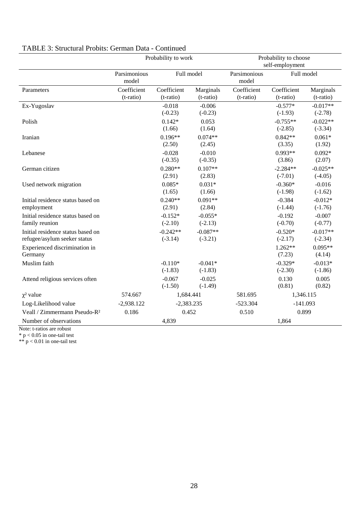|                                                                   | Probability to work      |                          |                         | Probability to choose<br>self-employment |                          |                         |  |
|-------------------------------------------------------------------|--------------------------|--------------------------|-------------------------|------------------------------------------|--------------------------|-------------------------|--|
|                                                                   | Parsimonious<br>model    | Full model               |                         | Parsimonious<br>model                    | Full model               |                         |  |
| Parameters                                                        | Coefficient<br>(t-ratio) | Coefficient<br>(t-ratio) | Marginals<br>(t-ratio)  | Coefficient<br>(t-ratio)                 | Coefficient<br>(t-ratio) | Marginals<br>(t-ratio)  |  |
| Ex-Yugoslav                                                       |                          | $-0.018$<br>$(-0.23)$    | $-0.006$<br>$(-0.23)$   |                                          | $-0.577*$<br>$(-1.93)$   | $-0.017**$<br>$(-2.78)$ |  |
| Polish                                                            |                          | $0.142*$<br>(1.66)       | 0.053<br>(1.64)         |                                          | $-0.755**$<br>$(-2.85)$  | $-0.022**$<br>$(-3.34)$ |  |
| Iranian                                                           |                          | $0.196**$<br>(2.50)      | $0.074**$<br>(2.45)     |                                          | $0.842**$<br>(3.35)      | $0.061*$<br>(1.92)      |  |
| Lebanese                                                          |                          | $-0.028$<br>$(-0.35)$    | $-0.010$<br>$(-0.35)$   |                                          | $0.993**$<br>(3.86)      | $0.092*$<br>(2.07)      |  |
| German citizen                                                    |                          | $0.280**$<br>(2.91)      | $0.107**$<br>(2.83)     |                                          | $-2.284**$<br>$(-7.01)$  | $-0.025**$<br>$(-4.05)$ |  |
| Used network migration                                            |                          | $0.085*$<br>(1.65)       | $0.031*$<br>(1.66)      |                                          | $-0.360*$<br>$(-1.98)$   | $-0.016$<br>$(-1.62)$   |  |
| Initial residence status based on<br>employment                   |                          | $0.240**$<br>(2.91)      | $0.091**$<br>(2.84)     |                                          | $-0.384$<br>$(-1.44)$    | $-0.012*$<br>$(-1.76)$  |  |
| Initial residence status based on<br>family reunion               |                          | $-0.152*$<br>$(-2.10)$   | $-0.055*$<br>$(-2.13)$  |                                          | $-0.192$<br>$(-0.70)$    | $-0.007$<br>$(-0.77)$   |  |
| Initial residence status based on<br>refugee/asylum seeker status |                          | $-0.242**$<br>$(-3.14)$  | $-0.087**$<br>$(-3.21)$ |                                          | $-0.520*$<br>$(-2.17)$   | $-0.017**$<br>$(-2.34)$ |  |
| Experienced discrimination in<br>Germany                          |                          |                          |                         |                                          | 1.262**<br>(7.23)        | $0.095**$<br>(4.14)     |  |
| Muslim faith                                                      |                          | $-0.110*$<br>$(-1.83)$   | $-0.041*$<br>$(-1.83)$  |                                          | $-0.329*$<br>$(-2.30)$   | $-0.013*$<br>$(-1.86)$  |  |
| Attend religious services often                                   |                          | $-0.067$<br>$(-1.50)$    | $-0.025$<br>$(-1.49)$   |                                          | 0.130<br>(0.81)          | 0.005<br>(0.82)         |  |
| $\chi^2$ value                                                    | 574.667                  | 1,684.441                |                         | 581.695                                  | 1,346.115                |                         |  |
| Log-Likelihood value                                              | $-2,938.122$             | $-2,383.235$             |                         | $-523.304$                               | $-141.093$               |                         |  |
| Veall / Zimmermann Pseudo-R <sup>2</sup>                          | 0.186                    | 0.452                    |                         | 0.510                                    | 0.899                    |                         |  |
| Number of observations                                            |                          | 4,839                    |                         |                                          | 1,864                    |                         |  |

# TABLE 3: Structural Probits: German Data - Continued

Note: t-ratios are robust

 $*$  p < 0.05 in one-tail test

 $** p < 0.01$  in one-tail test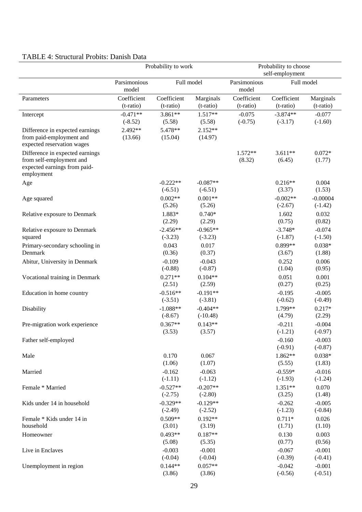# TABLE 4: Structural Probits: Danish Data

|                                                                                                           | Probability to work<br>Probability to choose<br>self-employment |                          |                          |                          |                          |                         |
|-----------------------------------------------------------------------------------------------------------|-----------------------------------------------------------------|--------------------------|--------------------------|--------------------------|--------------------------|-------------------------|
|                                                                                                           | Parsimonious<br>model                                           | Full model               |                          | Parsimonious<br>model    | Full model               |                         |
| Parameters                                                                                                | Coefficient<br>(t-ratio)                                        | Coefficient<br>(t-ratio) | Marginals<br>(t-ratio)   | Coefficient<br>(t-ratio) | Coefficient<br>(t-ratio) | Marginals<br>(t-ratio)  |
| Intercept                                                                                                 | $-0.471**$<br>$(-8.52)$                                         | 3.861**<br>(5.58)        | $1.517**$<br>(5.58)      | $-0.075$<br>$(-0.75)$    | $-3.874**$<br>$(-3.17)$  | $-0.077$<br>$(-1.60)$   |
| Difference in expected earnings<br>from paid-employment and<br>expected reservation wages                 | 2.492**<br>(13.66)                                              | 5.478**<br>(15.04)       | $2.152**$<br>(14.97)     |                          |                          |                         |
| Difference in expected earnings<br>from self-employment and<br>expected earnings from paid-<br>employment |                                                                 |                          |                          | $1.572**$<br>(8.32)      | $3.611**$<br>(6.45)      | $0.072*$<br>(1.77)      |
| Age                                                                                                       |                                                                 | $-0.222**$<br>$(-6.51)$  | $-0.087**$<br>$(-6.51)$  |                          | $0.216**$<br>(3.37)      | 0.004<br>(1.53)         |
| Age squared                                                                                               |                                                                 | $0.002**$<br>(5.26)      | $0.001**$<br>(5.26)      |                          | $-0.002**$<br>$(-2.67)$  | $-0.00004$<br>$(-1.42)$ |
| Relative exposure to Denmark                                                                              |                                                                 | 1.883*<br>(2.29)         | $0.740*$<br>(2.29)       |                          | 1.602<br>(0.75)          | 0.032<br>(0.82)         |
| Relative exposure to Denmark<br>squared                                                                   |                                                                 | $-2.456**$<br>$(-3.23)$  | $-0.965**$<br>$(-3.23)$  |                          | $-3.748*$<br>$(-1.87)$   | $-0.074$<br>$(-1.50)$   |
| Primary-secondary schooling in<br>Denmark                                                                 |                                                                 | 0.043<br>(0.36)          | 0.017<br>(0.37)          |                          | 0.899**<br>(3.67)        | $0.038*$<br>(1.88)      |
| Abitur, University in Denmark                                                                             |                                                                 | $-0.109$<br>$(-0.88)$    | $-0.043$<br>$(-0.87)$    |                          | 0.252<br>(1.04)          | 0.006<br>(0.95)         |
| Vocational training in Denmark                                                                            |                                                                 | $0.271**$<br>(2.51)      | $0.104**$<br>(2.59)      |                          | 0.051<br>(0.27)          | 0.001<br>(0.25)         |
| Education in home country                                                                                 |                                                                 | $-0.516**$<br>$(-3.51)$  | $-0.191**$<br>$(-3.81)$  |                          | $-0.195$<br>$(-0.62)$    | $-0.005$<br>$(-0.49)$   |
| Disability                                                                                                |                                                                 | $-1.088**$<br>$(-8.67)$  | $-0.404**$<br>$(-10.48)$ |                          | 1.799**<br>(4.79)        | $0.217*$<br>(2.29)      |
| Pre-migration work experience                                                                             |                                                                 | $0.367**$<br>(3.53)      | $0.143**$<br>(3.57)      |                          | $-0.211$<br>$(-1.21)$    | $-0.004$<br>$(-0.97)$   |
| Father self-employed                                                                                      |                                                                 |                          |                          |                          | $-0.160$<br>$(-0.91)$    | $-0.003$<br>$(-0.87)$   |
| Male                                                                                                      |                                                                 | 0.170<br>(1.06)          | 0.067<br>(1.07)          |                          | 1.862**<br>(5.55)        | $0.038*$<br>(1.83)      |
| Married                                                                                                   |                                                                 | $-0.162$<br>$(-1.11)$    | $-0.063$<br>$(-1.12)$    |                          | $-0.559*$<br>$(-1.93)$   | $-0.016$<br>$(-1.24)$   |
| Female * Married                                                                                          |                                                                 | $-0.527**$<br>$(-2.75)$  | $-0.207**$<br>$(-2.80)$  |                          | 1.351**<br>(3.25)        | 0.070<br>(1.48)         |
| Kids under 14 in household                                                                                |                                                                 | $-0.329**$<br>$(-2.49)$  | $-0.129**$<br>$(-2.52)$  |                          | $-0.262$<br>$(-1.23)$    | $-0.005$<br>$(-0.84)$   |
| Female * Kids under 14 in<br>household                                                                    |                                                                 | $0.509**$<br>(3.01)      | $0.192**$<br>(3.19)      |                          | $0.711*$<br>(1.71)       | 0.026<br>(1.10)         |
| Homeowner                                                                                                 |                                                                 | $0.493**$<br>(5.08)      | $0.187**$<br>(5.35)      |                          | 0.130<br>(0.77)          | 0.003<br>(0.56)         |
| Live in Enclaves                                                                                          |                                                                 | $-0.003$<br>$(-0.04)$    | $-0.001$<br>$(-0.04)$    |                          | $-0.067$<br>$(-0.39)$    | $-0.001$<br>$(-0.41)$   |
| Unemployment in region                                                                                    |                                                                 | $0.144**$<br>(3.86)      | $0.057**$<br>(3.86)      |                          | $-0.042$<br>$(-0.56)$    | $-0.001$<br>$(-0.51)$   |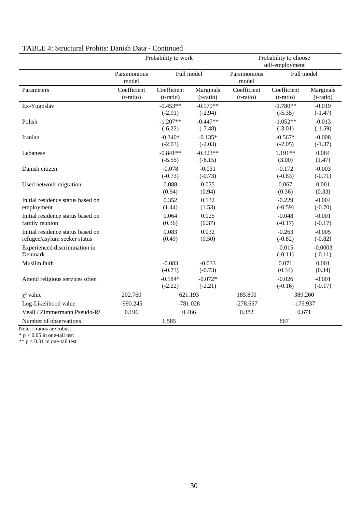|                                                                   | Probability to work      |                          |                         | Probability to choose<br>self-employment |                          |                        |  |
|-------------------------------------------------------------------|--------------------------|--------------------------|-------------------------|------------------------------------------|--------------------------|------------------------|--|
|                                                                   | Parsimonious<br>model    | Full model               |                         | Parsimonious<br>model                    | Full model               |                        |  |
| Parameters                                                        | Coefficient<br>(t-ratio) | Coefficient<br>(t-ratio) | Marginals<br>(t-ratio)  | Coefficient<br>(t-ratio)                 | Coefficient<br>(t-ratio) | Marginals<br>(t-ratio) |  |
| Ex-Yugoslav                                                       |                          | $-0.453**$<br>$(-2.91)$  | $-0.179**$<br>$(-2.94)$ |                                          | $-1.780**$<br>$(-5.35)$  | $-0.019$<br>$(-1.47)$  |  |
| Polish                                                            |                          | $-1.207**$<br>$(-6.22)$  | $-0.447**$<br>$(-7.48)$ |                                          | $-1.052**$<br>$(-3.01)$  | $-0.013$<br>$(-1.59)$  |  |
| Iranian                                                           |                          | $-0.340*$<br>$(-2.03)$   | $-0.135*$<br>$(-2.03)$  |                                          | $-0.567*$<br>$(-2.05)$   | $-0.008$<br>$(-1.37)$  |  |
| Lebanese                                                          |                          | $-0.841**$<br>$(-5.55)$  | $-0.323**$<br>$(-6.15)$ |                                          | 1.191**<br>(3.00)        | 0.084<br>(1.47)        |  |
| Danish citizen                                                    |                          | $-0.078$<br>$(-0.73)$    | $-0.031$<br>$(-0.73)$   |                                          | $-0.172$<br>$(-0.83)$    | $-0.003$<br>$(-0.71)$  |  |
| Used network migration                                            |                          | 0.088<br>(0.94)          | 0.035<br>(0.94)         |                                          | 0.067<br>(0.36)          | 0.001<br>(0.33)        |  |
| Initial residence status based on<br>employment                   |                          | 0.352<br>(1.44)          | 0.132<br>(1.53)         |                                          | $-0.229$<br>$(-0.59)$    | $-0.004$<br>$(-0.70)$  |  |
| Initial residence status based on<br>family reunion               |                          | 0.064<br>(0.36)          | 0.025<br>(0.37)         |                                          | $-0.048$<br>$(-0.17)$    | $-0.001$<br>$(-0.17)$  |  |
| Initial residence status based on<br>refugee/asylum seeker status |                          | 0.083<br>(0.49)          | 0.032<br>(0.50)         |                                          | $-0.263$<br>$(-0.82)$    | $-0.005$<br>$(-0.82)$  |  |
| Experienced discrimination in<br>Denmark                          |                          |                          |                         |                                          | $-0.015$<br>$(-0.11)$    | $-0.0003$<br>$(-0.11)$ |  |
| Muslim faith                                                      |                          | $-0.083$<br>$(-0.73)$    | $-0.033$<br>$(-0.73)$   |                                          | 0.071<br>(0.34)          | 0.001<br>(0.34)        |  |
| Attend religious services often                                   |                          | $-0.184*$<br>$(-2.22)$   | $-0.072*$<br>$(-2.21)$  |                                          | $-0.026$<br>$(-0.16)$    | $-0.001$<br>$(-0.17)$  |  |
| $\chi^2$ value                                                    | 202.760                  | 621.193                  |                         | 185.800                                  | 389.260                  |                        |  |
| Log-Likelihood value                                              | $-990.245$               | $-781.028$               |                         | $-278.667$                               | $-176.937$               |                        |  |
| Veall / Zimmermann Pseudo-R <sup>2</sup>                          | 0.196                    | 0.486                    |                         | 0.382                                    | 0.671                    |                        |  |
| Number of observations                                            |                          | 1,585                    |                         |                                          | 867                      |                        |  |

# TABLE 4: Structural Probits: Danish Data - Continued

Note: t-ratios are robust

 $*$  p < 0.05 in one-tail test

 $** p < 0.01$  in one-tail test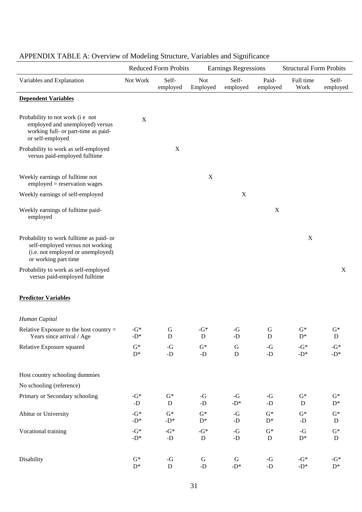|                                                                                                                                           |                         | <b>Reduced Form Probits</b> |                                   | <b>Earnings Regressions</b> |                               | <b>Structural Form Probits</b>   |                           |
|-------------------------------------------------------------------------------------------------------------------------------------------|-------------------------|-----------------------------|-----------------------------------|-----------------------------|-------------------------------|----------------------------------|---------------------------|
| Variables and Explanation                                                                                                                 | Not Work                | Self-<br>employed           | <b>Not</b><br>Employed            | Self-<br>employed           | Paid-<br>employed             | Full time<br>Work                | Self-<br>employed         |
| <b>Dependent Variables</b>                                                                                                                |                         |                             |                                   |                             |                               |                                  |                           |
| Probability to not work (i e not<br>employed and unemployed) versus<br>working full- or part-time as paid-<br>or self-employed            | $\mathbf X$             |                             |                                   |                             |                               |                                  |                           |
| Probability to work as self-employed<br>versus paid-employed fulltime                                                                     |                         | $\mathbf X$                 |                                   |                             |                               |                                  |                           |
| Weekly earnings of fulltime not<br>$employd = reservation$ wages                                                                          |                         |                             | $\mathbf X$                       |                             |                               |                                  |                           |
| Weekly earnings of self-employed                                                                                                          |                         |                             |                                   | X                           |                               |                                  |                           |
| Weekly earnings of fulltime paid-<br>employed                                                                                             |                         |                             |                                   |                             | $\mathbf X$                   |                                  |                           |
| Probability to work fulltime as paid- or<br>self-employed versus not working<br>(i.e. not employed or unemployed)<br>or working part time |                         |                             |                                   |                             |                               | $\mathbf X$                      |                           |
| Probability to work as self-employed<br>versus paid-employed fulltime                                                                     |                         |                             |                                   |                             |                               |                                  | X                         |
| <b>Predictor Variables</b>                                                                                                                |                         |                             |                                   |                             |                               |                                  |                           |
| Human Capital                                                                                                                             |                         |                             |                                   |                             |                               |                                  |                           |
| Relative Exposure to the host country $=$<br>Years since arrival / Age                                                                    | $-G^*$<br>-D*           | G<br>D                      | - $G^*$<br>$\mathbf D$            | $-G$<br>-D                  | G<br>$\mathbf D$              | $\mathrm{G}^*$<br>$\mathbf{D}^*$ | $G^*$<br>${\bf D}$        |
| Relative Exposure squared                                                                                                                 | $G^*$<br>$\mathrm{D}^*$ | -G<br>-D                    | $\mathbf{G}^*$<br>-D              | ${\bf G}$<br>${\bf D}$      | $-G$<br>-D                    | - $G^*$<br>-D*                   | -G*<br>-D*                |
| Host country schooling dummies                                                                                                            |                         |                             |                                   |                             |                               |                                  |                           |
| No schooling (reference)                                                                                                                  |                         |                             |                                   |                             |                               |                                  |                           |
| Primary or Secondary schooling                                                                                                            | - $G^*$<br>-D           | $G^*$<br>D                  | -G<br>-D                          | -G<br>-D*                   | -G<br>$\mbox{-}\mathrm{D}$    | $\mathbf{G}^*$<br>D              | $G^*$<br>$D^*$            |
| Abitur or University                                                                                                                      | $-G^*$<br>-D*           | $G^*$<br>-D*                | $G^*$<br>$\mathrm{D}^*$           | -G<br>-D                    | $G^*$<br>$D^*$                | $G^*$<br>-D                      | $G^*$<br>${\bf D}$        |
| Vocational training                                                                                                                       | - $G^*$<br>-D*          | - $G^*$<br>-D               | - $G^*$<br>$\mathbf D$            | -G<br>-D                    | $\mathrm{G}^*$<br>$\mathbf D$ | -G<br>$\mathbf{D}^*$             | $\mathbf{G}^*$<br>D       |
| Disability                                                                                                                                | $G^*$<br>$\mathrm{D}^*$ | -G<br>${\bf D}$             | ${\bf G}$<br>$\mbox{-}\mathrm{D}$ | ${\bf G}$<br>-D*            | -G<br>$\mbox{-}{\cal D}$      | - $G^*$<br>-D*                   | - $G^*$<br>$\mathrm{D}^*$ |

# APPENDIX TABLE A: Overview of Modeling Structure, Variables and Significance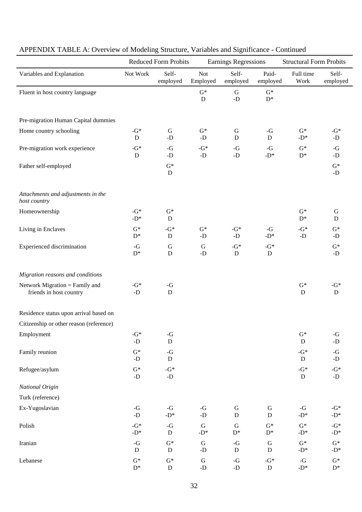|                                                           |                                | <b>Reduced Form Probits</b> |                                   | Earnings Regressions          |                                  | <b>Structural Form Probits</b> |                            |
|-----------------------------------------------------------|--------------------------------|-----------------------------|-----------------------------------|-------------------------------|----------------------------------|--------------------------------|----------------------------|
| Variables and Explanation                                 | Not Work                       | Self-<br>employed           | <b>Not</b><br>Employed            | Self-<br>employed             | Paid-<br>employed                | Full time<br>Work              | Self-<br>employed          |
| Fluent in host country language                           |                                |                             | $G^*$<br>$\mathbf D$              | ${\bf G}$<br>$-D$             | $G^*$<br>$\mathrm{D}^*$          |                                |                            |
| Pre-migration Human Capital dummies                       |                                |                             |                                   |                               |                                  |                                |                            |
| Home country schooling                                    | $-G*$<br>D                     | ${\bf G}$<br>$-D$           | $G^*$<br>-D                       | $\mathbf G$<br>${\bf D}$      | $-G$<br>$\mathbf D$              | $G^*$<br>$-D^*$                | - $G^*$<br>-D              |
| Pre-migration work experience                             | $-G*$<br>D                     | $-G$<br>$-D$                | - $G^*$<br>$-D$                   | -G<br>$-D$                    | $-G$<br>$-D^*$                   | $G^*$<br>$\mathrm{D}^*$        | -G<br>-D                   |
| Father self-employed                                      |                                | $G^*$<br>${\bf D}$          |                                   |                               |                                  |                                | $G^*$<br>-D                |
| Attachments and adjustments in the<br>host country        |                                |                             |                                   |                               |                                  |                                |                            |
| Homeownership                                             | $-G*$<br>$-D^*$                | $G^*$<br>${\bf D}$          |                                   |                               |                                  | $G^*$<br>$D^*$                 | ${\bf G}$<br>D             |
| Living in Enclaves                                        | $G^*$<br>$D^*$                 | $-G^*$<br>${\bf D}$         | $G^*$<br>-D                       | - $G^*$<br>-D                 | $-G$<br>-D*                      | - $G^*$<br>$-D$                | $G^*$<br>-D                |
| <b>Experienced</b> discrimination                         | $-G$<br>$\mathrm{D}^*$         | ${\bf G}$<br>D              | $\mathsf G$<br>$-D$               | - $G^*$<br>D                  | - $G^*$<br>D                     |                                | $G^*$<br>$-D$              |
| Migration reasons and conditions                          |                                |                             |                                   |                               |                                  |                                |                            |
| Network Migration = Family and<br>friends in host country | $-G*$<br>$-D$                  | $-G$<br>$\mathbf D$         |                                   |                               |                                  | $\mathrm{G}^*$<br>D            | - $G^*$<br>D               |
| Residence status upon arrival based on                    |                                |                             |                                   |                               |                                  |                                |                            |
| Citizenship or other reason (reference)                   |                                |                             |                                   |                               |                                  |                                |                            |
| Employment                                                | $-G^*$<br>$\mbox{-}\mathrm{D}$ | -G<br>${\bf D}$             |                                   |                               |                                  | $\mathrm{G}^*$<br>${\bf D}$    | -G<br>$\mbox{-}\mathrm{D}$ |
| Family reunion                                            | $\mathbf{G}^*$<br>$-D$         | -G<br>${\bf D}$             |                                   |                               |                                  | $-G^*$<br>D                    | -G<br>$-D$                 |
| Refugee/asylum                                            | $G^*$<br>$\mbox{-}{\cal D}$    | - $G^*$<br>-D               |                                   |                               |                                  | $-G^*$<br>${\bf D}$            | -G*<br>$-D$                |
| National Origin                                           |                                |                             |                                   |                               |                                  |                                |                            |
| Turk (reference)                                          |                                |                             |                                   |                               |                                  |                                |                            |
| Ex-Yugoslavian                                            | -G<br>$\mbox{-}\mathrm{D}$     | -G<br>-D*                   | -G<br>$\mbox{-}\mathrm{D}$        | ${\bf G}$<br>${\bf D}$        | G<br>$\mathbf D$                 | -G<br>-D* $\,$                 | - $G^*$<br>-D*             |
| Polish                                                    | $-G^*$<br>-D*                  | -G<br>${\bf D}$             | $\mathbf G$<br>-D*                | $\mathbf G$<br>$\mathrm{D}^*$ | $\mathbf{G}^*$<br>$\mathbf{D}^*$ | $G^*$<br>- $D^*$               | $-G^*$<br>-D*              |
| Iranian                                                   | -G<br>${\bf D}$                | $\mathbf{G}^*$<br>${\bf D}$ | ${\bf G}$<br>$\mbox{-}\mathrm{D}$ | -G<br>$\mathbf D$             | ${\bf G}$<br>$\mathbf D$         | $G^*$<br>- $D^*$               | $G^*$<br>-D*               |
| Lebanese                                                  | $G^*$<br>$\mathrm{D}^*$        | $G^*$<br>${\bf D}$          | ${\bf G}$<br>-D                   | -G<br>-D                      | -G*<br>${\bf D}$                 | -G<br>-D*                      | $G^*$<br>$\mathrm{D}^*$    |

# APPENDIX TABLE A: Overview of Modeling Structure, Variables and Significance - Continued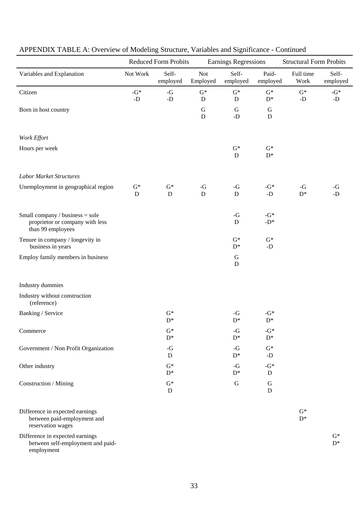|                                                                                         | <b>Reduced Form Probits</b> |                         |                               | <b>Earnings Regressions</b>         |                           |                      | <b>Structural Form Probits</b> |  |
|-----------------------------------------------------------------------------------------|-----------------------------|-------------------------|-------------------------------|-------------------------------------|---------------------------|----------------------|--------------------------------|--|
| Variables and Explanation                                                               | Not Work                    | Self-<br>employed       | <b>Not</b><br>Employed        | Self-<br>employed                   | Paid-<br>employed         | Full time<br>Work    | Self-<br>employed              |  |
| Citizen                                                                                 | -G*<br>$-D$                 | -G<br>-D                | $\mathrm{G}^*$<br>$\mathbf D$ | $G^*$<br>${\bf D}$                  | $G^*$<br>$\mathrm{D}^*$   | $\mathrm{G}^*$<br>-D | -G*<br>$\mbox{-}{\rm D}$       |  |
| Born in host country                                                                    |                             |                         | $\mathbf G$<br>$\mathbf D$    | $\mathsf G$<br>$\mbox{-}\mathrm{D}$ | G<br>${\bf D}$            |                      |                                |  |
| Work Effort                                                                             |                             |                         |                               |                                     |                           |                      |                                |  |
| Hours per week                                                                          |                             |                         |                               | $\mathrm{G}^*$<br>D                 | $G^*$<br>$\mathrm{D}^*$   |                      |                                |  |
| <b>Labor Market Structures</b>                                                          |                             |                         |                               |                                     |                           |                      |                                |  |
| Unemployment in geographical region                                                     | $\mathrm{G}^*$<br>${\bf D}$ | $G^*$<br>D              | -G<br>$\mathbf D$             | -G<br>$\mathbf D$                   | - $G^*$<br>-D             | -G<br>$D^*$          | $-G$<br>-D                     |  |
| Small company / business = sole<br>proprietor or company with less<br>than 99 employees |                             |                         |                               | $-G$<br>${\bf D}$                   | - $G^*$<br>-D*            |                      |                                |  |
| Tenure in company / longevity in<br>business in years                                   |                             |                         |                               | $G^*$<br>$D^*$                      | $G^*$<br>$-D$             |                      |                                |  |
| Employ family members in business                                                       |                             |                         |                               | G<br>D                              |                           |                      |                                |  |
| Industry dummies                                                                        |                             |                         |                               |                                     |                           |                      |                                |  |
| Industry without construction<br>(reference)                                            |                             |                         |                               |                                     |                           |                      |                                |  |
| Banking / Service                                                                       |                             | $G^*$<br>$D^*$          |                               | $-G$<br>$\mathbf{D}^*$              | - $G^*$<br>$\mathrm{D}^*$ |                      |                                |  |
| Commerce                                                                                |                             | $G^*$<br>$\mathbf{D}^*$ |                               | -G<br>$D^*$                         | $-G^*$<br>$\mathbf{D}^*$  |                      |                                |  |
| Government / Non Profit Organization                                                    |                             | -G<br>D                 |                               | -G<br>$D^*$                         | $G^*$<br>-D               |                      |                                |  |
| Other industry                                                                          |                             | $G^*$<br>$\mathrm{D}^*$ |                               | $-G$<br>$D^*$                       | - $G^*$<br>D              |                      |                                |  |
| Construction / Mining                                                                   |                             | $G^*$<br>D              |                               | ${\bf G}$                           | G<br>${\bf D}$            |                      |                                |  |
| Difference in expected earnings<br>between paid-employment and<br>reservation wages     |                             |                         |                               |                                     |                           | $G^*$<br>$D^*$       |                                |  |
| Difference in expected earnings<br>between self-employment and paid-                    |                             |                         |                               |                                     |                           |                      | $G^*$<br>$\mathbf{D}^*$        |  |

# APPENDIX TABLE A: Overview of Modeling Structure, Variables and Significance - Continued

employment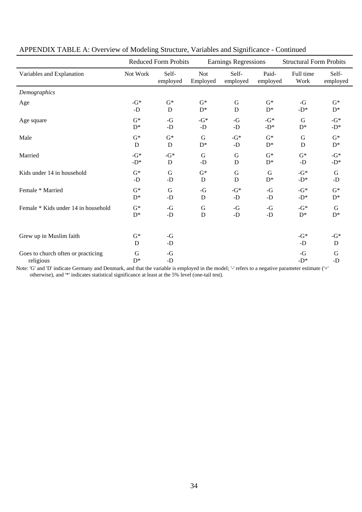|                                                 |            | <b>Reduced Form Probits</b> |                        | Earnings Regressions |                   | <b>Structural Form Probits</b> |                   |
|-------------------------------------------------|------------|-----------------------------|------------------------|----------------------|-------------------|--------------------------------|-------------------|
| Variables and Explanation                       | Not Work   | Self-<br>employed           | <b>Not</b><br>Employed | Self-<br>employed    | Paid-<br>employed | Full time<br>Work              | Self-<br>employed |
| Demographics                                    |            |                             |                        |                      |                   |                                |                   |
| Age                                             | $-G*$      | $G^*$                       | $G^*$                  | G                    | $G^*$             | $-G$                           | $G^*$             |
|                                                 | $-D$       | D                           | $D^*$                  | D                    | $D^*$             | $-D^*$                         | $D^*$             |
| Age square                                      | $G^*$      | -G                          | - $G^*$                | $-G$                 | $-G^*$            | G                              | - $G^*$           |
|                                                 | $D^*$      | $-D$                        | $-D$                   | $-D$                 | $-D^*$            | $D^*$                          | $-D^*$            |
| Male                                            | $G^*$      | $G^*$                       | G                      | - $G^*$              | $G^*$             | G                              | $G^*$             |
|                                                 | D          | $\mathbf D$                 | $D^*$                  | $-D$                 | $D^*$             | D                              | $D^*$             |
| Married                                         | $-G^*$     | - $G^*$                     | $\mathbf G$            | G                    | $G^*$             | $\mathrm{G}^*$                 | - $G^*$           |
|                                                 | $-D^*$     | D                           | $-D$                   | D                    | $D^*$             | $-D$                           | -D*               |
| Kids under 14 in household                      | $G^*$      | $\mathbf G$                 | $G^*$                  | $\mathbf G$          | $\mathbf G$       | - $G^*$                        | $\mathbf G$       |
|                                                 | -D         | $-D$                        | D                      | D                    | $D^*$             | $-D^*$                         | $-D$              |
| Female * Married                                | $G^*$      | G                           | -G                     | $-G^*$               | $-G$              | $-G^*$                         | $G^*$             |
|                                                 | $D^*$      | $-D$                        | D                      | -D                   | $-D$              | $-D^*$                         | $D^*$             |
| Female * Kids under 14 in household             | $G^*$      | $-G$                        | ${\bf G}$              | $-G$                 | $-G$              | $-G^*$                         | $\mathbf G$       |
|                                                 | $D^*$      | $-D$                        | D                      | $-D$                 | - $\mathbf D$     | $D^*$                          | $D^*$             |
| Grew up in Muslim faith                         | $G^*$<br>D | $-G$<br>$-D$                |                        |                      |                   | $-G^*$<br>$-D$                 | $-G^*$<br>D       |
| Goes to church often or practicing<br>religious | G<br>$D^*$ | $-G$<br>$-D$                |                        |                      |                   | $-G$<br>$-D^*$                 | G<br>$-D$         |

### APPENDIX TABLE A: Overview of Modeling Structure, Variables and Significance - Continued

Note: 'G' and 'D' indicate Germany and Denmark, and that the variable is employed in the model; '-' refers to a negative parameter estimate ('+' otherwise), and '\*' indicates statistical significance at least at the 5% level (one-tail test).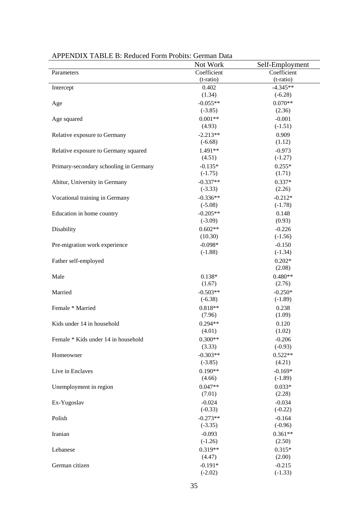|                                        | Not Work    | Self-Employment |
|----------------------------------------|-------------|-----------------|
| Parameters                             | Coefficient | Coefficient     |
|                                        | (t-ratio)   | (t-ratio)       |
| Intercept                              | 0.402       | $-4.345**$      |
|                                        | (1.34)      | $(-6.28)$       |
| Age                                    | $-0.055**$  | $0.070**$       |
|                                        | $(-3.85)$   | (2.36)          |
| Age squared                            | $0.001**$   | $-0.001$        |
|                                        | (4.93)      | $(-1.51)$       |
| Relative exposure to Germany           | $-2.213**$  | 0.909           |
|                                        | $(-6.68)$   | (1.12)          |
| Relative exposure to Germany squared   | 1.491**     | $-0.973$        |
|                                        | (4.51)      | $(-1.27)$       |
| Primary-secondary schooling in Germany | $-0.135*$   | $0.255*$        |
|                                        | $(-1.75)$   | (1.71)          |
| Abitur, University in Germany          | $-0.337**$  | $0.337*$        |
|                                        | $(-3.33)$   | (2.26)          |
| Vocational training in Germany         | $-0.336**$  | $-0.212*$       |
|                                        | $(-5.08)$   | $(-1.78)$       |
| Education in home country              | $-0.205**$  | 0.148           |
|                                        | $(-3.09)$   | (0.93)          |
| Disability                             | $0.602**$   | $-0.226$        |
|                                        | (10.30)     | $(-1.56)$       |
| Pre-migration work experience          | $-0.098*$   | $-0.150$        |
|                                        | $(-1.88)$   | $(-1.34)$       |
| Father self-employed                   |             | $0.202*$        |
|                                        |             | (2.08)          |
| Male                                   | $0.138*$    | $0.480**$       |
|                                        | (1.67)      | (2.76)          |
| Married                                | $-0.503**$  | $-0.250*$       |
|                                        | $(-6.38)$   | $(-1.89)$       |
| Female * Married                       | $0.818**$   | 0.238           |
|                                        | (7.96)      | (1.09)          |
| Kids under 14 in household             | $0.294**$   | 0.120           |
|                                        | (4.01)      | (1.02)          |
| Female * Kids under 14 in household    | $0.300**$   | $-0.206$        |
|                                        | (3.33)      | $(-0.93)$       |
| Homeowner                              | $-0.303**$  | $0.522**$       |
|                                        | $(-3.85)$   | (4.21)          |
| Live in Enclaves                       | $0.190**$   | $-0.169*$       |
|                                        | (4.66)      | $(-1.89)$       |
| Unemployment in region                 | $0.047**$   | $0.033*$        |
|                                        | (7.01)      | (2.28)          |
| Ex-Yugoslav                            | $-0.024$    | $-0.034$        |
|                                        | $(-0.33)$   | $(-0.22)$       |
| Polish                                 | $-0.273**$  | $-0.164$        |
|                                        | $(-3.35)$   | $(-0.96)$       |
| Iranian                                | $-0.093$    | $0.361**$       |
|                                        | $(-1.26)$   | (2.50)          |
| Lebanese                               | $0.319**$   | $0.315*$        |
|                                        | (4.47)      | (2.00)          |
| German citizen                         | $-0.191*$   | $-0.215$        |
|                                        | $(-2.02)$   | $(-1.33)$       |
|                                        |             |                 |

### APPENDIX TABLE B: Reduced Form Probits: German Data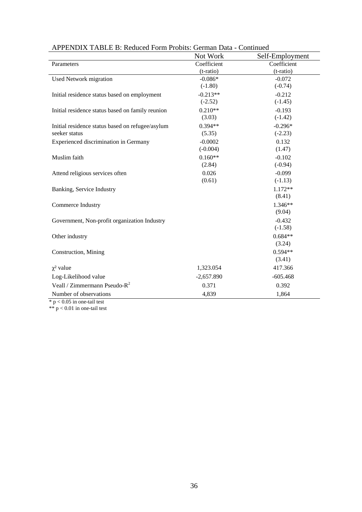|                                                  | Not Work     | Self-Employment |
|--------------------------------------------------|--------------|-----------------|
| Parameters                                       | Coefficient  | Coefficient     |
|                                                  | (t-ratio)    | (t-ratio)       |
| <b>Used Network migration</b>                    | $-0.086*$    | $-0.072$        |
|                                                  | $(-1.80)$    | $(-0.74)$       |
| Initial residence status based on employment     | $-0.213**$   | $-0.212$        |
|                                                  | $(-2.52)$    | $(-1.45)$       |
| Initial residence status based on family reunion | $0.210**$    | $-0.193$        |
|                                                  | (3.03)       | $(-1.42)$       |
| Initial residence status based on refugee/asylum | $0.394**$    | $-0.296*$       |
| seeker status                                    | (5.35)       | $(-2.23)$       |
| Experienced discrimination in Germany            | $-0.0002$    | 0.132           |
|                                                  | $(-0.004)$   | (1.47)          |
| Muslim faith                                     | $0.160**$    | $-0.102$        |
|                                                  | (2.84)       | $(-0.94)$       |
| Attend religious services often                  | 0.026        | $-0.099$        |
|                                                  | (0.61)       | $(-1.13)$       |
| Banking, Service Industry                        |              | 1.172**         |
|                                                  |              | (8.41)          |
| Commerce Industry                                |              | $1.346**$       |
|                                                  |              | (9.04)          |
| Government, Non-profit organization Industry     |              | $-0.432$        |
|                                                  |              | $(-1.58)$       |
| Other industry                                   |              | $0.684**$       |
|                                                  |              | (3.24)          |
| Construction, Mining                             |              | $0.594**$       |
|                                                  |              | (3.41)          |
| $\chi^2$ value                                   | 1,323.054    | 417.366         |
| Log-Likelihood value                             | $-2,657.890$ | $-605.468$      |
| Veall / Zimmermann Pseudo- $R^2$                 | 0.371        | 0.392           |
| Number of observations                           | 4,839        | 1,864           |

APPENDIX TABLE B: Reduced Form Probits: German Data - Continued

 $*$  p < 0.05 in one-tail test

 $** p < 0.01$  in one-tail test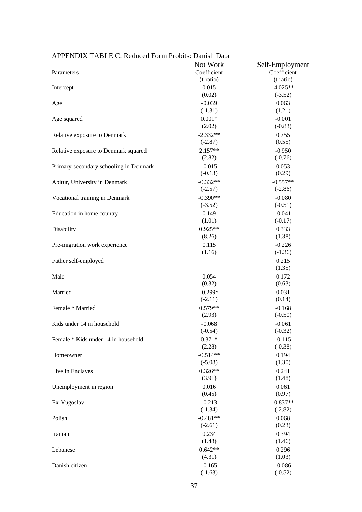|                                        | Not Work           | Self-Employment       |
|----------------------------------------|--------------------|-----------------------|
| Parameters                             | Coefficient        | Coefficient           |
|                                        | (t-ratio)          | (t-ratio)             |
| Intercept                              | 0.015              | $-4.025**$            |
|                                        | (0.02)             | $(-3.52)$             |
| Age                                    | $-0.039$           | 0.063                 |
|                                        | $(-1.31)$          | (1.21)                |
| Age squared                            | $0.001*$           | $-0.001$              |
|                                        | (2.02)             | $(-0.83)$             |
| Relative exposure to Denmark           | $-2.332**$         | 0.755                 |
|                                        | $(-2.87)$          | (0.55)                |
| Relative exposure to Denmark squared   | $2.157**$          | $-0.950$              |
|                                        | (2.82)             | $(-0.76)$             |
| Primary-secondary schooling in Denmark | $-0.015$           | 0.053                 |
|                                        | $(-0.13)$          | (0.29)                |
| Abitur, University in Denmark          | $-0.332**$         | $-0.557**$            |
|                                        | $(-2.57)$          | $(-2.86)$             |
| Vocational training in Denmark         | $-0.390**$         | $-0.080$              |
|                                        | $(-3.52)$          | $(-0.51)$             |
| Education in home country              | 0.149              | $-0.041$              |
|                                        | (1.01)             | $(-0.17)$             |
| Disability                             | $0.925**$          | 0.333                 |
|                                        | (8.26)             | (1.38)                |
| Pre-migration work experience          | 0.115              | $-0.226$              |
|                                        | (1.16)             | $(-1.36)$             |
| Father self-employed                   |                    | 0.215                 |
|                                        |                    | (1.35)                |
| Male                                   | 0.054              | 0.172                 |
|                                        | (0.32)             | (0.63)                |
| Married                                | $-0.299*$          | 0.031                 |
|                                        | $(-2.11)$          | (0.14)                |
| Female * Married                       | $0.579**$          | $-0.168$              |
|                                        | (2.93)             | $(-0.50)$             |
| Kids under 14 in household             | $-0.068$           | $-0.061$              |
|                                        | $(-0.54)$          | $(-0.32)$             |
| Female * Kids under 14 in household    |                    |                       |
|                                        | $0.371*$<br>(2.28) | $-0.115$<br>$(-0.38)$ |
|                                        | $-0.514**$         |                       |
| Homeowner                              | $(-5.08)$          | 0.194<br>(1.30)       |
|                                        | $0.326**$          |                       |
| Live in Enclaves                       | (3.91)             | 0.241<br>(1.48)       |
|                                        |                    |                       |
| Unemployment in region                 | 0.016              | 0.061<br>(0.97)       |
|                                        | (0.45)             |                       |
| Ex-Yugoslav                            | $-0.213$           | $-0.837**$            |
|                                        | $(-1.34)$          | $(-2.82)$             |
| Polish                                 | $-0.481**$         | 0.068                 |
|                                        | $(-2.61)$          | (0.23)                |
| Iranian                                | 0.234              | 0.394                 |
|                                        | (1.48)             | (1.46)                |
| Lebanese                               | $0.642**$          | 0.296                 |
|                                        | (4.31)             | (1.03)                |
| Danish citizen                         | $-0.165$           | $-0.086$              |
|                                        | $(-1.63)$          | $(-0.52)$             |

APPENDIX TABLE C: Reduced Form Probits: Danish Data